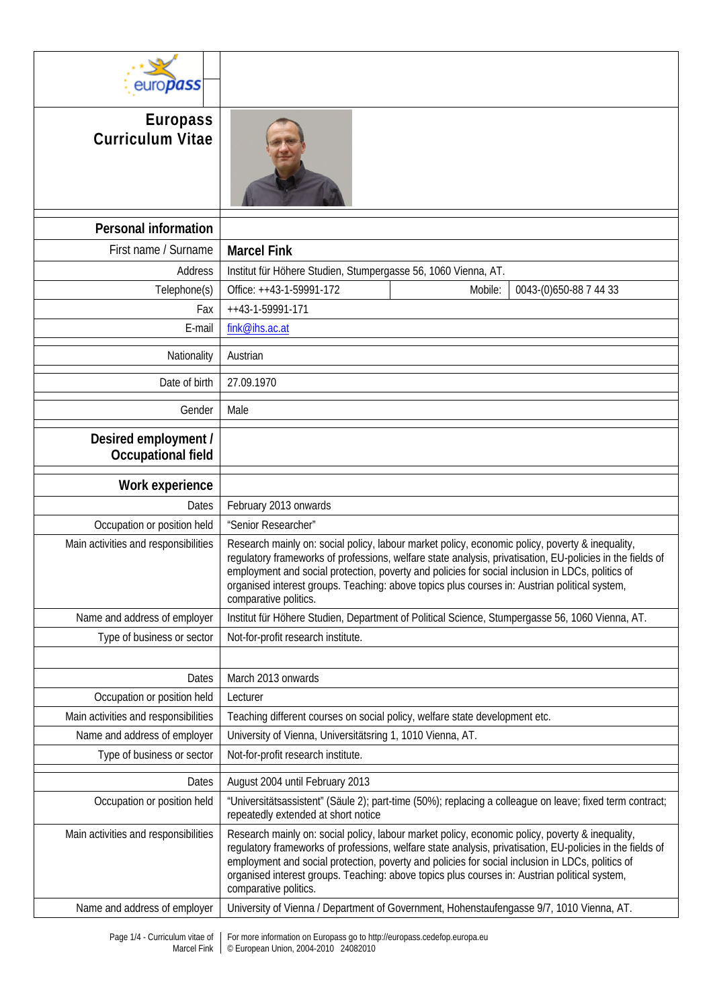| europass                                          |                                                                                                                                                                                                                                                                                                                                                                                                                                            |  |  |  |  |
|---------------------------------------------------|--------------------------------------------------------------------------------------------------------------------------------------------------------------------------------------------------------------------------------------------------------------------------------------------------------------------------------------------------------------------------------------------------------------------------------------------|--|--|--|--|
| <b>Europass</b><br><b>Curriculum Vitae</b>        |                                                                                                                                                                                                                                                                                                                                                                                                                                            |  |  |  |  |
| <b>Personal information</b>                       |                                                                                                                                                                                                                                                                                                                                                                                                                                            |  |  |  |  |
| First name / Surname                              | <b>Marcel Fink</b>                                                                                                                                                                                                                                                                                                                                                                                                                         |  |  |  |  |
| Address                                           | Institut für Höhere Studien, Stumpergasse 56, 1060 Vienna, AT.                                                                                                                                                                                                                                                                                                                                                                             |  |  |  |  |
| Telephone(s)                                      | Office: ++43-1-59991-172<br>Mobile:<br>0043-(0)650-88 7 44 33                                                                                                                                                                                                                                                                                                                                                                              |  |  |  |  |
| Fax                                               | ++43-1-59991-171                                                                                                                                                                                                                                                                                                                                                                                                                           |  |  |  |  |
| E-mail                                            | fink@ihs.ac.at                                                                                                                                                                                                                                                                                                                                                                                                                             |  |  |  |  |
| Nationality                                       | Austrian                                                                                                                                                                                                                                                                                                                                                                                                                                   |  |  |  |  |
| Date of birth                                     | 27.09.1970                                                                                                                                                                                                                                                                                                                                                                                                                                 |  |  |  |  |
| Gender                                            | Male                                                                                                                                                                                                                                                                                                                                                                                                                                       |  |  |  |  |
| Desired employment /<br><b>Occupational field</b> |                                                                                                                                                                                                                                                                                                                                                                                                                                            |  |  |  |  |
| Work experience                                   |                                                                                                                                                                                                                                                                                                                                                                                                                                            |  |  |  |  |
| Dates                                             | February 2013 onwards                                                                                                                                                                                                                                                                                                                                                                                                                      |  |  |  |  |
| Occupation or position held                       | "Senior Researcher"                                                                                                                                                                                                                                                                                                                                                                                                                        |  |  |  |  |
| Main activities and responsibilities              | Research mainly on: social policy, labour market policy, economic policy, poverty & inequality,<br>regulatory frameworks of professions, welfare state analysis, privatisation, EU-policies in the fields of<br>employment and social protection, poverty and policies for social inclusion in LDCs, politics of<br>organised interest groups. Teaching: above topics plus courses in: Austrian political system<br>comparative politics.  |  |  |  |  |
| Name and address of employer                      | Institut für Höhere Studien, Department of Political Science, Stumpergasse 56, 1060 Vienna, AT.                                                                                                                                                                                                                                                                                                                                            |  |  |  |  |
| Type of business or sector                        | Not-for-profit research institute.                                                                                                                                                                                                                                                                                                                                                                                                         |  |  |  |  |
|                                                   |                                                                                                                                                                                                                                                                                                                                                                                                                                            |  |  |  |  |
| Dates                                             | March 2013 onwards                                                                                                                                                                                                                                                                                                                                                                                                                         |  |  |  |  |
| Occupation or position held                       | Lecturer                                                                                                                                                                                                                                                                                                                                                                                                                                   |  |  |  |  |
| Main activities and responsibilities              | Teaching different courses on social policy, welfare state development etc.                                                                                                                                                                                                                                                                                                                                                                |  |  |  |  |
| Name and address of employer                      | University of Vienna, Universitätsring 1, 1010 Vienna, AT.                                                                                                                                                                                                                                                                                                                                                                                 |  |  |  |  |
| Type of business or sector                        | Not-for-profit research institute.                                                                                                                                                                                                                                                                                                                                                                                                         |  |  |  |  |
| Dates                                             | August 2004 until February 2013                                                                                                                                                                                                                                                                                                                                                                                                            |  |  |  |  |
| Occupation or position held                       | "Universitätsassistent" (Säule 2); part-time (50%); replacing a colleague on leave; fixed term contract;<br>repeatedly extended at short notice                                                                                                                                                                                                                                                                                            |  |  |  |  |
| Main activities and responsibilities              | Research mainly on: social policy, labour market policy, economic policy, poverty & inequality,<br>regulatory frameworks of professions, welfare state analysis, privatisation, EU-policies in the fields of<br>employment and social protection, poverty and policies for social inclusion in LDCs, politics of<br>organised interest groups. Teaching: above topics plus courses in: Austrian political system,<br>comparative politics. |  |  |  |  |
| Name and address of employer                      | University of Vienna / Department of Government, Hohenstaufengasse 9/7, 1010 Vienna, AT.                                                                                                                                                                                                                                                                                                                                                   |  |  |  |  |
|                                                   | Rago 1/4 Curriculum vitao of Ear more information on Europeas ao to http://ouropeas.codofon.ourope.o                                                                                                                                                                                                                                                                                                                                       |  |  |  |  |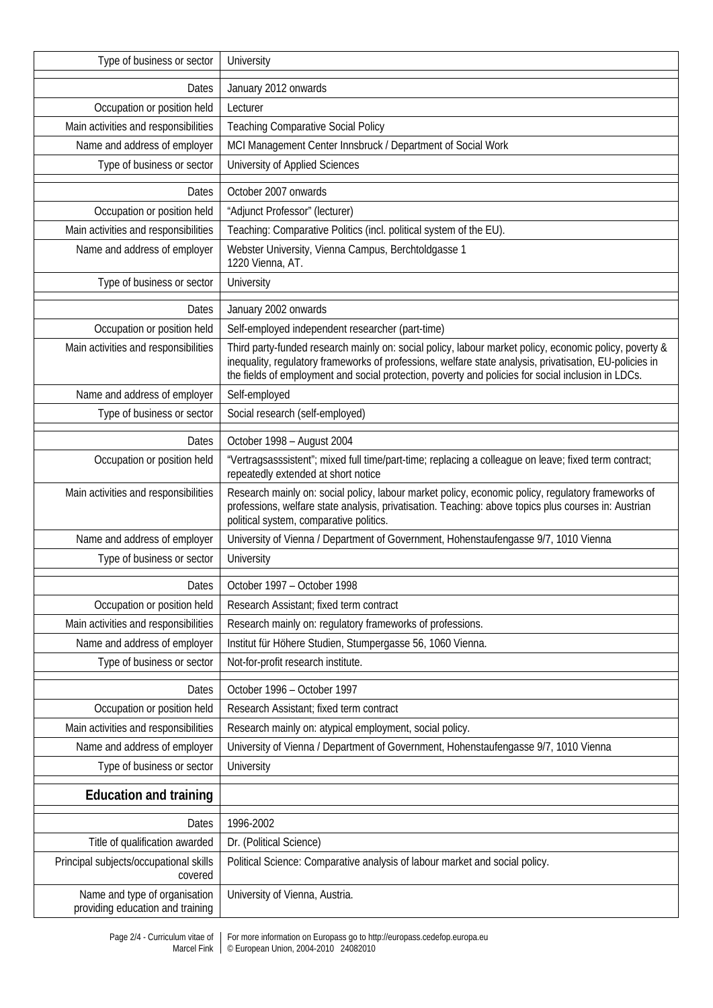| Type of business or sector                                        | University                                                                                                                                                                                                                                                                                                              |  |  |  |  |
|-------------------------------------------------------------------|-------------------------------------------------------------------------------------------------------------------------------------------------------------------------------------------------------------------------------------------------------------------------------------------------------------------------|--|--|--|--|
| Dates                                                             | January 2012 onwards                                                                                                                                                                                                                                                                                                    |  |  |  |  |
| Occupation or position held                                       | Lecturer                                                                                                                                                                                                                                                                                                                |  |  |  |  |
| Main activities and responsibilities                              | <b>Teaching Comparative Social Policy</b>                                                                                                                                                                                                                                                                               |  |  |  |  |
| Name and address of employer                                      | MCI Management Center Innsbruck / Department of Social Work                                                                                                                                                                                                                                                             |  |  |  |  |
| Type of business or sector                                        | University of Applied Sciences                                                                                                                                                                                                                                                                                          |  |  |  |  |
| Dates                                                             | October 2007 onwards                                                                                                                                                                                                                                                                                                    |  |  |  |  |
| Occupation or position held                                       | "Adjunct Professor" (lecturer)                                                                                                                                                                                                                                                                                          |  |  |  |  |
| Main activities and responsibilities                              | Teaching: Comparative Politics (incl. political system of the EU).                                                                                                                                                                                                                                                      |  |  |  |  |
| Name and address of employer                                      | Webster University, Vienna Campus, Berchtoldgasse 1<br>1220 Vienna, AT.                                                                                                                                                                                                                                                 |  |  |  |  |
| Type of business or sector                                        | University                                                                                                                                                                                                                                                                                                              |  |  |  |  |
| Dates                                                             | January 2002 onwards                                                                                                                                                                                                                                                                                                    |  |  |  |  |
| Occupation or position held                                       | Self-employed independent researcher (part-time)                                                                                                                                                                                                                                                                        |  |  |  |  |
| Main activities and responsibilities                              | Third party-funded research mainly on: social policy, labour market policy, economic policy, poverty &<br>inequality, regulatory frameworks of professions, welfare state analysis, privatisation, EU-policies in<br>the fields of employment and social protection, poverty and policies for social inclusion in LDCs. |  |  |  |  |
| Name and address of employer                                      | Self-employed                                                                                                                                                                                                                                                                                                           |  |  |  |  |
| Type of business or sector                                        | Social research (self-employed)                                                                                                                                                                                                                                                                                         |  |  |  |  |
| Dates                                                             | October 1998 - August 2004                                                                                                                                                                                                                                                                                              |  |  |  |  |
| Occupation or position held                                       | "Vertragsasssistent"; mixed full time/part-time; replacing a colleague on leave; fixed term contract;<br>repeatedly extended at short notice                                                                                                                                                                            |  |  |  |  |
| Main activities and responsibilities                              | Research mainly on: social policy, labour market policy, economic policy, regulatory frameworks of<br>professions, welfare state analysis, privatisation. Teaching: above topics plus courses in: Austrian<br>political system, comparative politics.                                                                   |  |  |  |  |
| Name and address of employer                                      | University of Vienna / Department of Government, Hohenstaufengasse 9/7, 1010 Vienna                                                                                                                                                                                                                                     |  |  |  |  |
| Type of business or sector                                        | University                                                                                                                                                                                                                                                                                                              |  |  |  |  |
| Dates                                                             | October 1997 - October 1998                                                                                                                                                                                                                                                                                             |  |  |  |  |
| Occupation or position held                                       | Research Assistant; fixed term contract                                                                                                                                                                                                                                                                                 |  |  |  |  |
| Main activities and responsibilities                              | Research mainly on: regulatory frameworks of professions.                                                                                                                                                                                                                                                               |  |  |  |  |
| Name and address of employer                                      | Institut für Höhere Studien, Stumpergasse 56, 1060 Vienna.                                                                                                                                                                                                                                                              |  |  |  |  |
| Type of business or sector                                        | Not-for-profit research institute.                                                                                                                                                                                                                                                                                      |  |  |  |  |
| Dates                                                             | October 1996 - October 1997                                                                                                                                                                                                                                                                                             |  |  |  |  |
| Occupation or position held                                       | Research Assistant; fixed term contract                                                                                                                                                                                                                                                                                 |  |  |  |  |
| Main activities and responsibilities                              | Research mainly on: atypical employment, social policy.                                                                                                                                                                                                                                                                 |  |  |  |  |
| Name and address of employer                                      | University of Vienna / Department of Government, Hohenstaufengasse 9/7, 1010 Vienna                                                                                                                                                                                                                                     |  |  |  |  |
| Type of business or sector                                        | University                                                                                                                                                                                                                                                                                                              |  |  |  |  |
| <b>Education and training</b>                                     |                                                                                                                                                                                                                                                                                                                         |  |  |  |  |
| Dates                                                             | 1996-2002                                                                                                                                                                                                                                                                                                               |  |  |  |  |
| Title of qualification awarded                                    | Dr. (Political Science)                                                                                                                                                                                                                                                                                                 |  |  |  |  |
| Principal subjects/occupational skills<br>covered                 | Political Science: Comparative analysis of labour market and social policy.                                                                                                                                                                                                                                             |  |  |  |  |
| Name and type of organisation<br>providing education and training | University of Vienna, Austria.                                                                                                                                                                                                                                                                                          |  |  |  |  |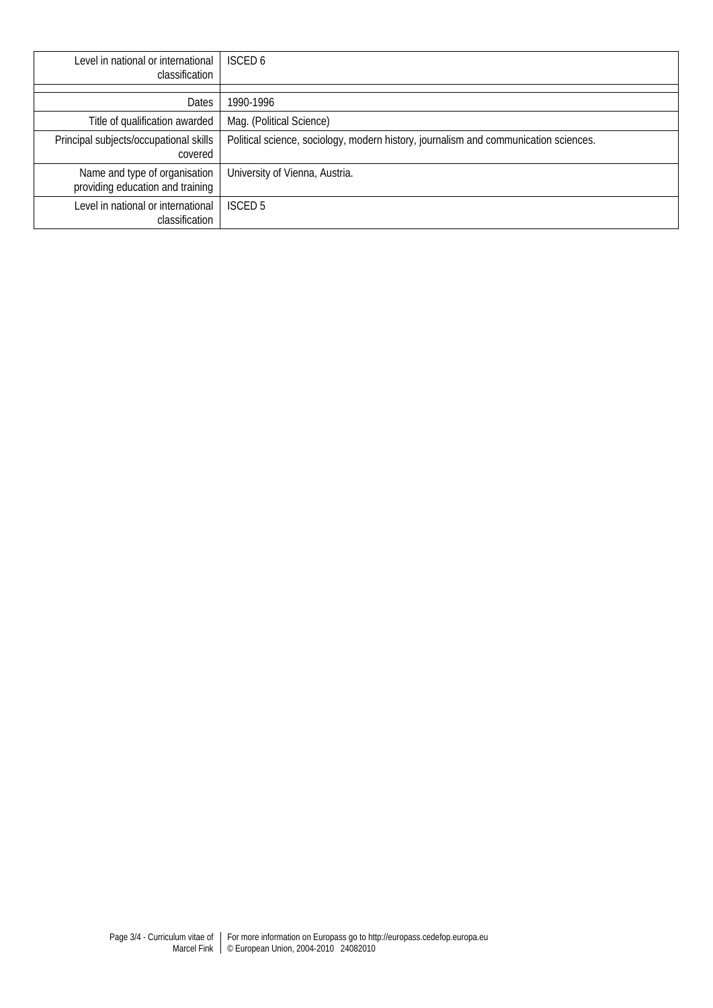| Level in national or international<br>classification              | <b>ISCED 6</b>                                                                       |
|-------------------------------------------------------------------|--------------------------------------------------------------------------------------|
|                                                                   |                                                                                      |
| Dates                                                             | 1990-1996                                                                            |
| Title of qualification awarded                                    | Mag. (Political Science)                                                             |
| Principal subjects/occupational skills<br>covered                 | Political science, sociology, modern history, journalism and communication sciences. |
| Name and type of organisation<br>providing education and training | University of Vienna, Austria.                                                       |
| Level in national or international<br>classification              | ISCED <sub>5</sub>                                                                   |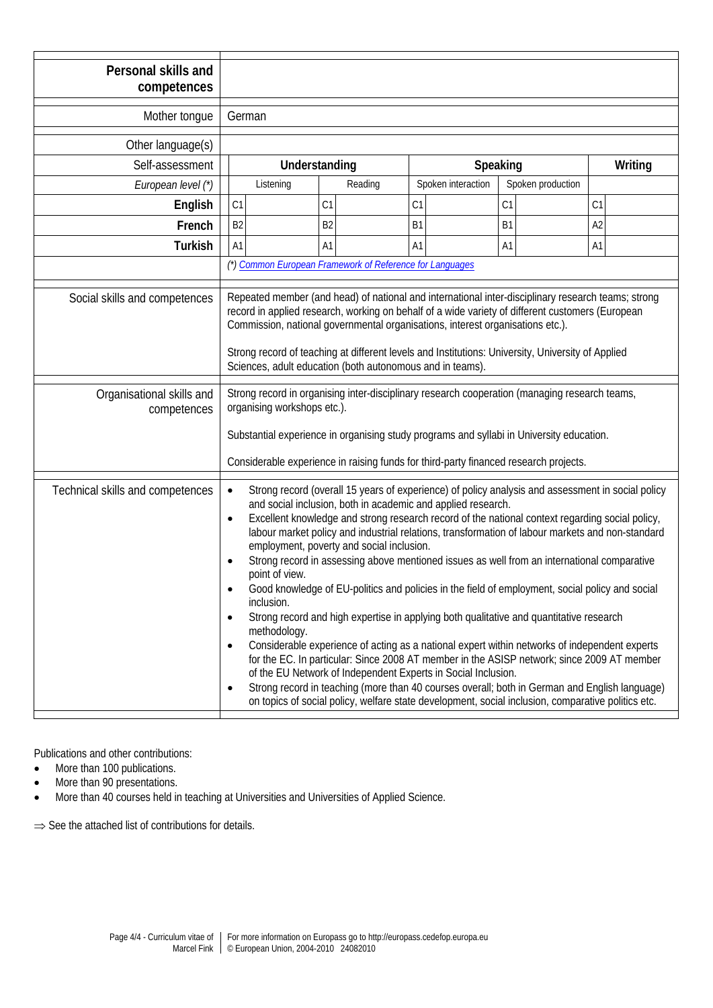| Personal skills and<br>competences       |                                                                                                                                                                                                                                                                                                                                                                                                                                                                                                                                                                                                                                                                                                                                                                                                                                                                                                                                                                                                                                                                                                                                                                                                                                                                                                            |                |                    |                   |         |  |  |
|------------------------------------------|------------------------------------------------------------------------------------------------------------------------------------------------------------------------------------------------------------------------------------------------------------------------------------------------------------------------------------------------------------------------------------------------------------------------------------------------------------------------------------------------------------------------------------------------------------------------------------------------------------------------------------------------------------------------------------------------------------------------------------------------------------------------------------------------------------------------------------------------------------------------------------------------------------------------------------------------------------------------------------------------------------------------------------------------------------------------------------------------------------------------------------------------------------------------------------------------------------------------------------------------------------------------------------------------------------|----------------|--------------------|-------------------|---------|--|--|
| Mother tongue                            | German                                                                                                                                                                                                                                                                                                                                                                                                                                                                                                                                                                                                                                                                                                                                                                                                                                                                                                                                                                                                                                                                                                                                                                                                                                                                                                     |                |                    |                   |         |  |  |
| Other language(s)                        |                                                                                                                                                                                                                                                                                                                                                                                                                                                                                                                                                                                                                                                                                                                                                                                                                                                                                                                                                                                                                                                                                                                                                                                                                                                                                                            |                |                    |                   |         |  |  |
| Self-assessment                          |                                                                                                                                                                                                                                                                                                                                                                                                                                                                                                                                                                                                                                                                                                                                                                                                                                                                                                                                                                                                                                                                                                                                                                                                                                                                                                            | Understanding  |                    | Speaking          | Writing |  |  |
| European level (*)                       | Listening                                                                                                                                                                                                                                                                                                                                                                                                                                                                                                                                                                                                                                                                                                                                                                                                                                                                                                                                                                                                                                                                                                                                                                                                                                                                                                  | Reading        | Spoken interaction | Spoken production |         |  |  |
| English                                  | C <sub>1</sub>                                                                                                                                                                                                                                                                                                                                                                                                                                                                                                                                                                                                                                                                                                                                                                                                                                                                                                                                                                                                                                                                                                                                                                                                                                                                                             | C1             | C1                 | C1                | C1      |  |  |
| French                                   | B <sub>2</sub>                                                                                                                                                                                                                                                                                                                                                                                                                                                                                                                                                                                                                                                                                                                                                                                                                                                                                                                                                                                                                                                                                                                                                                                                                                                                                             | B <sub>2</sub> | B <sub>1</sub>     | B <sub>1</sub>    | A2      |  |  |
| <b>Turkish</b>                           | A1                                                                                                                                                                                                                                                                                                                                                                                                                                                                                                                                                                                                                                                                                                                                                                                                                                                                                                                                                                                                                                                                                                                                                                                                                                                                                                         | A1             | A1                 | A <sub>1</sub>    | A1      |  |  |
|                                          | (*) Common European Framework of Reference for Languages                                                                                                                                                                                                                                                                                                                                                                                                                                                                                                                                                                                                                                                                                                                                                                                                                                                                                                                                                                                                                                                                                                                                                                                                                                                   |                |                    |                   |         |  |  |
| Social skills and competences            | Repeated member (and head) of national and international inter-disciplinary research teams; strong<br>record in applied research, working on behalf of a wide variety of different customers (European<br>Commission, national governmental organisations, interest organisations etc.).<br>Strong record of teaching at different levels and Institutions: University, University of Applied<br>Sciences, adult education (both autonomous and in teams).                                                                                                                                                                                                                                                                                                                                                                                                                                                                                                                                                                                                                                                                                                                                                                                                                                                 |                |                    |                   |         |  |  |
| Organisational skills and<br>competences | Strong record in organising inter-disciplinary research cooperation (managing research teams,<br>organising workshops etc.).<br>Substantial experience in organising study programs and syllabi in University education.<br>Considerable experience in raising funds for third-party financed research projects.                                                                                                                                                                                                                                                                                                                                                                                                                                                                                                                                                                                                                                                                                                                                                                                                                                                                                                                                                                                           |                |                    |                   |         |  |  |
| Technical skills and competences         | Strong record (overall 15 years of experience) of policy analysis and assessment in social policy<br>$\bullet$<br>and social inclusion, both in academic and applied research.<br>Excellent knowledge and strong research record of the national context regarding social policy,<br>$\bullet$<br>labour market policy and industrial relations, transformation of labour markets and non-standard<br>employment, poverty and social inclusion.<br>Strong record in assessing above mentioned issues as well from an international comparative<br>point of view.<br>Good knowledge of EU-politics and policies in the field of employment, social policy and social<br>inclusion.<br>Strong record and high expertise in applying both qualitative and quantitative research<br>$\bullet$<br>methodology.<br>Considerable experience of acting as a national expert within networks of independent experts<br>$\bullet$<br>for the EC. In particular: Since 2008 AT member in the ASISP network; since 2009 AT member<br>of the EU Network of Independent Experts in Social Inclusion.<br>Strong record in teaching (more than 40 courses overall; both in German and English language)<br>$\bullet$<br>on topics of social policy, welfare state development, social inclusion, comparative politics etc. |                |                    |                   |         |  |  |

Publications and other contributions:

• More than 100 publications.

- More than 90 presentations.
- More than 40 courses held in teaching at Universities and Universities of Applied Science.

⇒ See the attached list of contributions for details.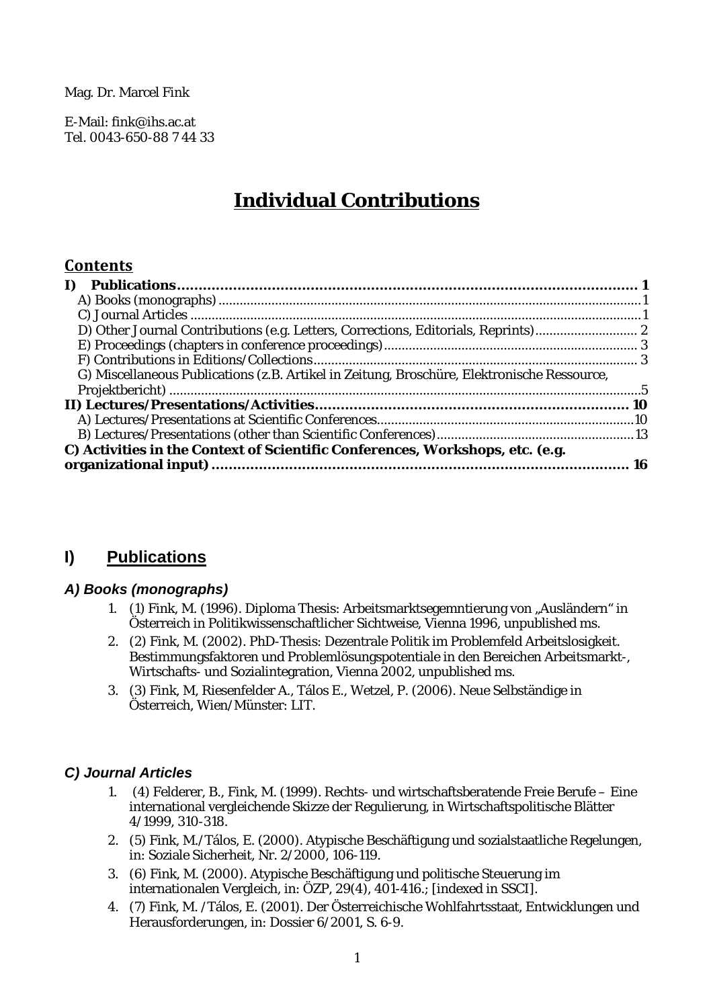Mag. Dr. Marcel Fink

E-Mail: fink@ihs.ac.at Tel. 0043-650-88 7 44 33

# **Individual Contributions**

## **Contents**

| G) Miscellaneous Publications (z.B. Artikel in Zeitung, Broschüre, Elektronische Ressource, |  |
|---------------------------------------------------------------------------------------------|--|
|                                                                                             |  |
|                                                                                             |  |
|                                                                                             |  |
|                                                                                             |  |
| C) Activities in the Context of Scientific Conferences, Workshops, etc. (e.g.               |  |
|                                                                                             |  |

## <span id="page-4-0"></span>**I) Publications**

#### <span id="page-4-1"></span>*A) Books (monographs)*

- 1. (1) Fink, M. (1996). Diploma Thesis: Arbeitsmarktsegemntierung von "Ausländern" in Österreich in Politikwissenschaftlicher Sichtweise, Vienna 1996, unpublished ms.
- 2. (2) Fink, M. (2002). PhD-Thesis: Dezentrale Politik im Problemfeld Arbeitslosigkeit. Bestimmungsfaktoren und Problemlösungspotentiale in den Bereichen Arbeitsmarkt-, Wirtschafts- und Sozialintegration, Vienna 2002, unpublished ms.
- 3. (3) Fink, M, Riesenfelder A., Tálos E., Wetzel, P. (2006). Neue Selbständige in Österreich, Wien/Münster: LIT.

#### <span id="page-4-2"></span>*C) Journal Articles*

- 1. (4) Felderer, B., Fink, M. (1999). Rechts- und wirtschaftsberatende Freie Berufe Eine international vergleichende Skizze der Regulierung, in Wirtschaftspolitische Blätter 4/1999, 310-318.
- 2. (5) Fink, M./Tálos, E. (2000). Atypische Beschäftigung und sozialstaatliche Regelungen, in: Soziale Sicherheit, Nr. 2/2000, 106-119.
- 3. (6) Fink, M. (2000). Atypische Beschäftigung und politische Steuerung im internationalen Vergleich, in: ÖZP, 29(4), 401-416.; [indexed in SSCI].
- 4. (7) Fink, M. /Tálos, E. (2001). Der Österreichische Wohlfahrtsstaat, Entwicklungen und Herausforderungen, in: Dossier 6/2001, S. 6-9.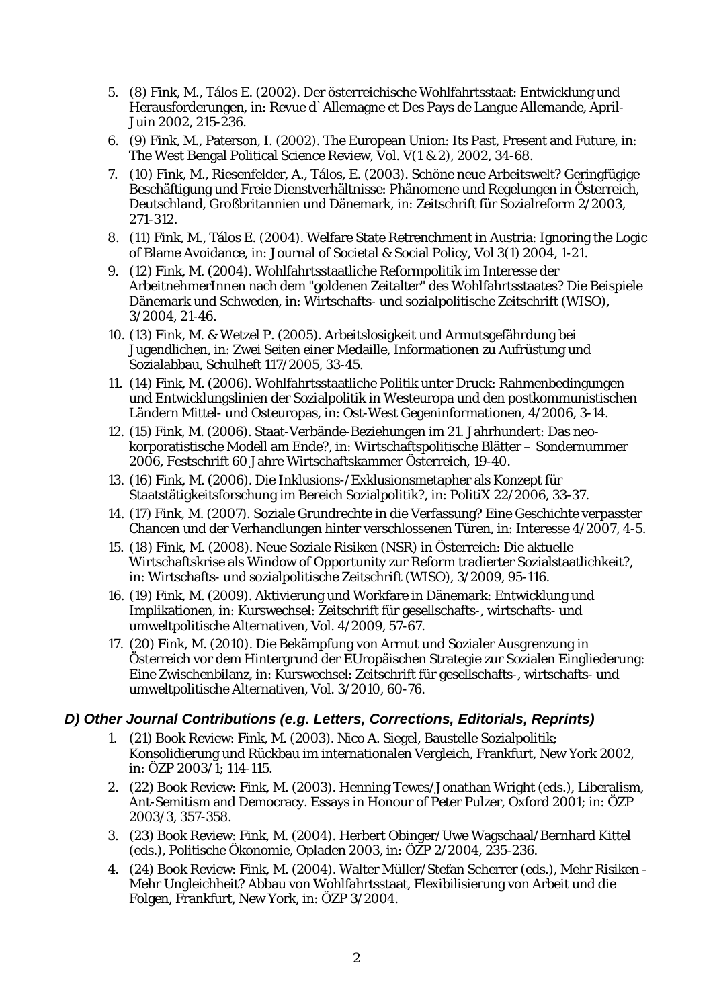- 5. (8) Fink, M., Tálos E. (2002). Der österreichische Wohlfahrtsstaat: Entwicklung und Herausforderungen*,* in: Revue d`Allemagne et Des Pays de Langue Allemande, April-Juin 2002, 215-236.
- 6. (9) Fink, M., Paterson, I. (2002). The European Union: Its Past, Present and Future, in: The West Bengal Political Science Review, Vol. V(1 & 2), 2002, 34-68.
- 7. (10) Fink, M., Riesenfelder, A., Tálos, E. (2003). Schöne neue Arbeitswelt? Geringfügige Beschäftigung und Freie Dienstverhältnisse: Phänomene und Regelungen in Österreich, Deutschland, Großbritannien und Dänemark, in: Zeitschrift für Sozialreform 2/2003, 271-312.
- 8. (11) Fink, M., Tálos E. (2004). Welfare State Retrenchment in Austria: Ignoring the Logic of Blame Avoidance, in: Journal of Societal & Social Policy, Vol 3(1) 2004, 1-21.
- 9. (12) Fink, M. (2004). Wohlfahrtsstaatliche Reformpolitik im Interesse der ArbeitnehmerInnen nach dem "goldenen Zeitalter" des Wohlfahrtsstaates? Die Beispiele Dänemark und Schweden, in: Wirtschafts- und sozialpolitische Zeitschrift (WISO), 3/2004, 21-46.
- 10. (13) Fink, M. & Wetzel P. (2005). Arbeitslosigkeit und Armutsgefährdung bei Jugendlichen, in: Zwei Seiten einer Medaille, Informationen zu Aufrüstung und Sozialabbau, Schulheft 117/2005, 33-45.
- 11. (14) Fink, M. (2006). Wohlfahrtsstaatliche Politik unter Druck: Rahmenbedingungen und Entwicklungslinien der Sozialpolitik in Westeuropa und den postkommunistischen Ländern Mittel- und Osteuropas, in: Ost-West Gegeninformationen, 4/2006, 3-14.
- 12. (15) Fink, M. (2006). Staat-Verbände-Beziehungen im 21. Jahrhundert: Das neokorporatistische Modell am Ende?, in: Wirtschaftspolitische Blätter – Sondernummer 2006, Festschrift 60 Jahre Wirtschaftskammer Österreich, 19-40.
- 13. (16) Fink, M. (2006). Die Inklusions-/Exklusionsmetapher als Konzept für Staatstätigkeitsforschung im Bereich Sozialpolitik?, in: PolitiX 22/2006, 33-37.
- 14. (17) Fink, M. (2007). Soziale Grundrechte in die Verfassung? Eine Geschichte verpasster Chancen und der Verhandlungen hinter verschlossenen Türen, in: Interesse 4/2007, 4-5.
- 15. (18) Fink, M. (2008). Neue Soziale Risiken (NSR) in Österreich: Die aktuelle Wirtschaftskrise als Window of Opportunity zur Reform tradierter Sozialstaatlichkeit?, in: Wirtschafts- und sozialpolitische Zeitschrift (WISO), 3/2009, 95-116.
- 16. (19) Fink, M. (2009). Aktivierung und Workfare in Dänemark: Entwicklung und Implikationen, in: Kurswechsel: Zeitschrift für gesellschafts-, wirtschafts- und umweltpolitische Alternativen, Vol. 4/2009, 57-67.
- 17. (20) Fink, M. (2010). Die Bekämpfung von Armut und Sozialer Ausgrenzung in Österreich vor dem Hintergrund der EUropäischen Strategie zur Sozialen Eingliederung: Eine Zwischenbilanz, in: Kurswechsel: Zeitschrift für gesellschafts-, wirtschafts- und umweltpolitische Alternativen, Vol. 3/2010, 60-76.

## <span id="page-5-0"></span>*D) Other Journal Contributions (e.g. Letters, Corrections, Editorials, Reprints)*

- 1. (21) Book Review: Fink, M. (2003). Nico A. Siegel, Baustelle Sozialpolitik; Konsolidierung und Rückbau im internationalen Vergleich, Frankfurt, New York 2002, in: ÖZP 2003/1; 114-115.
- 2. (22) Book Review: Fink, M. (2003). Henning Tewes/Jonathan Wright (eds.), Liberalism, Ant-Semitism and Democracy. Essays in Honour of Peter Pulzer, Oxford 2001; in: ÖZP 2003/3, 357-358.
- 3. (23) Book Review: Fink, M. (2004). Herbert Obinger/Uwe Wagschaal/Bernhard Kittel (eds.), Politische Ökonomie, Opladen 2003, in: ÖZP 2/2004, 235-236.
- 4. (24) Book Review: Fink, M. (2004). Walter Müller/Stefan Scherrer (eds.), Mehr Risiken Mehr Ungleichheit? Abbau von Wohlfahrtsstaat, Flexibilisierung von Arbeit und die Folgen, Frankfurt, New York, in: ÖZP 3/2004.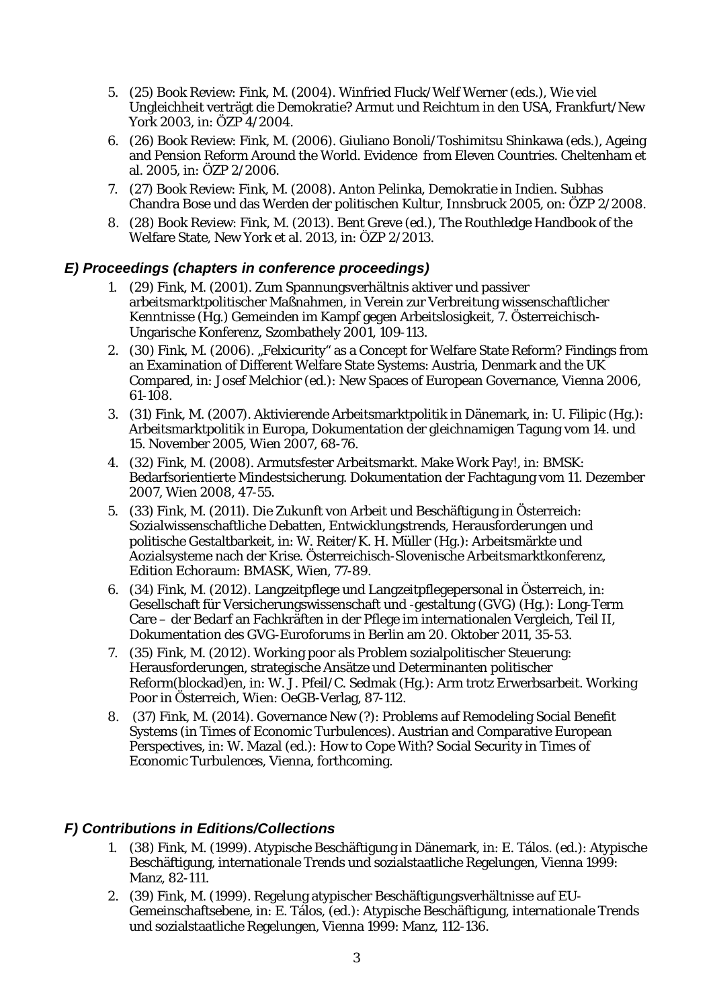- 5. (25) Book Review: Fink, M. (2004). Winfried Fluck/Welf Werner (eds.), Wie viel Ungleichheit verträgt die Demokratie? Armut und Reichtum in den USA, Frankfurt/New York 2003, in: ÖZP 4/2004.
- 6. (26) Book Review: Fink, M. (2006). Giuliano Bonoli/Toshimitsu Shinkawa (eds.), Ageing and Pension Reform Around the World. Evidence from Eleven Countries. Cheltenham et al. 2005, in: [ÖZP 2/2006.](http://www.oezp.at/oezp/online/06_2_ab.htm)
- 7. (27) Book Review: Fink, M. (2008). Anton Pelinka, Demokratie in Indien. Subhas Chandra Bose und das Werden der politischen Kultur, Innsbruck 2005, on: ÖZP 2/2008.
- 8. (28) Book Review: Fink, M. (2013). Bent Greve (ed.), The Routhledge Handbook of the Welfare State, New York et al. 2013, in: ÖZP 2/2013.

## <span id="page-6-0"></span>*E) Proceedings (chapters in conference proceedings)*

- 1. (29) Fink, M. (2001). Zum Spannungsverhältnis aktiver und passiver arbeitsmarktpolitischer Maßnahmen, in Verein zur Verbreitung wissenschaftlicher Kenntnisse (Hg.) Gemeinden im Kampf gegen Arbeitslosigkeit, 7. Österreichisch-Ungarische Konferenz, Szombathely 2001, 109-113.
- 2. (30) Fink, M. (2006). "Felxicurity" as a Concept for Welfare State Reform? Findings from an Examination of Different Welfare State Systems: Austria, Denmark and the UK Compared, in: Josef Melchior (ed.): New Spaces of European Governance, Vienna 2006, 61-108.
- 3. (31) Fink, M. (2007). Aktivierende Arbeitsmarktpolitik in Dänemark, in: U. Filipic (Hg.): Arbeitsmarktpolitik in Europa, Dokumentation der gleichnamigen Tagung vom 14. und 15. November 2005, Wien 2007, 68-76.
- 4. (32) Fink, M. (2008). Armutsfester Arbeitsmarkt. Make Work Pay!, in: BMSK: Bedarfsorientierte Mindestsicherung. Dokumentation der Fachtagung vom 11. Dezember 2007, Wien 2008, 47-55.
- 5. (33) Fink, M. (2011). Die Zukunft von Arbeit und Beschäftigung in Österreich: Sozialwissenschaftliche Debatten, Entwicklungstrends, Herausforderungen und politische Gestaltbarkeit, in: W. Reiter/K. H. Müller (Hg.): Arbeitsmärkte und Aozialsysteme nach der Krise. Österreichisch-Slovenische Arbeitsmarktkonferenz, Edition Echoraum: BMASK, Wien, 77-89.
- 6. (34) Fink, M. (2012). Langzeitpflege und Langzeitpflegepersonal in Österreich, in: Gesellschaft für Versicherungswissenschaft und -gestaltung (GVG) (Hg.): Long-Term Care – der Bedarf an Fachkräften in der Pflege im internationalen Vergleich, Teil II, Dokumentation des GVG-Euroforums in Berlin am 20. Oktober 2011, 35-53.
- 7. (35) Fink, M. (2012). Working poor als Problem sozialpolitischer Steuerung: Herausforderungen, strategische Ansätze und Determinanten politischer Reform(blockad)en, in: W. J. Pfeil/C. Sedmak (Hg.): Arm trotz Erwerbsarbeit. Working Poor in Österreich, Wien: OeGB-Verlag, 87-112.
- 8. (37) Fink, M. (2014). Governance New (?): Problems auf Remodeling Social Benefit Systems (in Times of Economic Turbulences). Austrian and Comparative European Perspectives, in: W. Mazal (ed.): How to Cope With? Social Security in Times of Economic Turbulences, Vienna, forthcoming.

## <span id="page-6-1"></span>*F) Contributions in Editions/Collections*

- 1. (38) Fink, M. (1999). Atypische Beschäftigung in Dänemark, in: E. Tálos. (ed.): Atypische Beschäftigung, internationale Trends und sozialstaatliche Regelungen, Vienna 1999: Manz, 82-111.
- 2. (39) Fink, M. (1999). Regelung atypischer Beschäftigungsverhältnisse auf EU-Gemeinschaftsebene, in: E. Tálos, (ed.): Atypische Beschäftigung, internationale Trends und sozialstaatliche Regelungen, Vienna 1999: Manz, 112-136.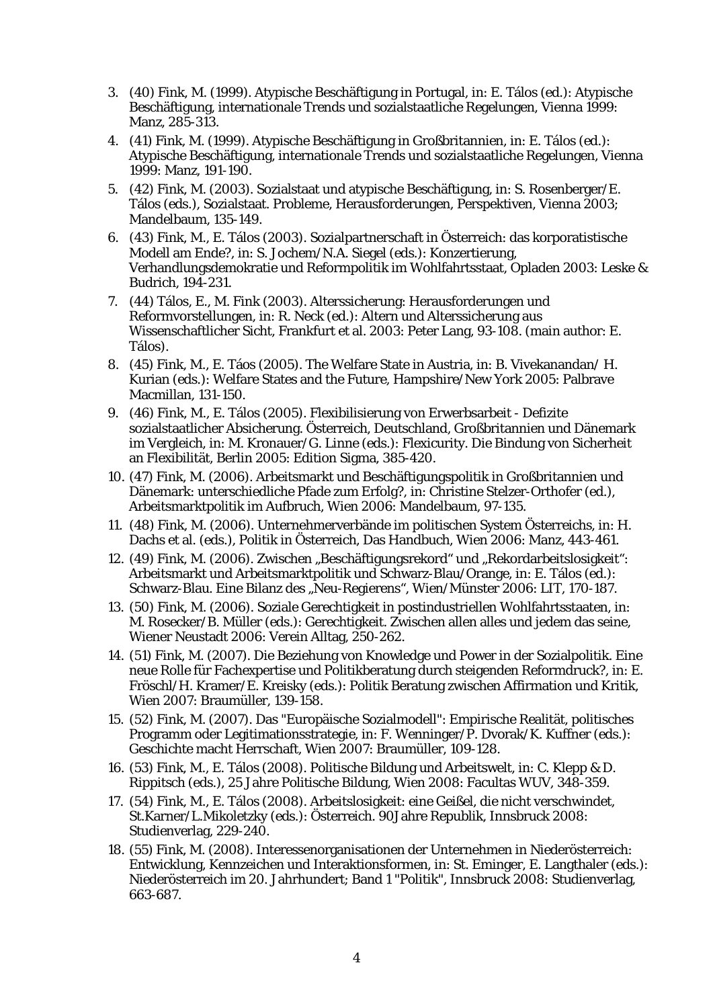- 3. (40) Fink, M. (1999). Atypische Beschäftigung in Portugal, in: E. Tálos (ed.): Atypische Beschäftigung, internationale Trends und sozialstaatliche Regelungen, Vienna 1999: Manz, 285-313.
- 4. (41) Fink, M. (1999). Atypische Beschäftigung in Großbritannien, in: E. Tálos (ed.): Atypische Beschäftigung, internationale Trends und sozialstaatliche Regelungen, Vienna 1999: Manz, 191-190.
- 5. (42) Fink, M. (2003). Sozialstaat und atypische Beschäftigung, in: S. Rosenberger/E. Tálos (eds.), Sozialstaat. Probleme, Herausforderungen, Perspektiven, Vienna 2003; Mandelbaum, 135-149.
- 6. (43) Fink, M., E. Tálos (2003). Sozialpartnerschaft in Österreich: das korporatistische Modell am Ende?, in: S. Jochem/N.A. Siegel (eds.): Konzertierung, Verhandlungsdemokratie und Reformpolitik im Wohlfahrtsstaat, Opladen 2003: Leske & Budrich, 194-231.
- 7. (44) Tálos, E., M. Fink (2003). Alterssicherung: Herausforderungen und Reformvorstellungen, in: R. Neck (ed.): Altern und Alterssicherung aus Wissenschaftlicher Sicht, Frankfurt et al. 2003: Peter Lang, 93-108. (main author: E. Tálos).
- 8. (45) Fink, M., E. Táos (2005). The Welfare State in Austria, in: B. Vivekanandan/ H. Kurian (eds.): Welfare States and the Future, Hampshire/New York 2005: Palbrave Macmillan, 131-150.
- 9. (46) Fink, M., E. Tálos (2005). Flexibilisierung von Erwerbsarbeit Defizite sozialstaatlicher Absicherung. Österreich, Deutschland, Großbritannien und Dänemark im Vergleich, in: M. Kronauer/G. Linne (eds.): Flexicurity. Die Bindung von Sicherheit an Flexibilität, Berlin 2005: Edition Sigma, 385-420.
- 10. (47) Fink, M. (2006). Arbeitsmarkt und Beschäftigungspolitik in Großbritannien und Dänemark: unterschiedliche Pfade zum Erfolg?, in: Christine Stelzer-Orthofer (ed.), Arbeitsmarktpolitik im Aufbruch, Wien 2006: Mandelbaum, 97-135.
- 11. (48) Fink, M. (2006). Unternehmerverbände im politischen System Österreichs, in: H. Dachs et al. (eds.), Politik in Österreich, Das Handbuch, Wien 2006: Manz, 443-461.
- 12. (49) Fink, M. (2006). Zwischen "Beschäftigungsrekord" und "Rekordarbeitslosigkeit": Arbeitsmarkt und Arbeitsmarktpolitik und Schwarz-Blau/Orange, in: E. Tálos (ed.): Schwarz-Blau. Eine Bilanz des "Neu-Regierens", Wien/Münster 2006: LIT, 170-187.
- 13. (50) Fink, M. (2006). Soziale Gerechtigkeit in postindustriellen Wohlfahrtsstaaten, in: M. Rosecker/B. Müller (eds.): Gerechtigkeit. Zwischen allen alles und jedem das seine, Wiener Neustadt 2006: Verein Alltag, 250-262.
- 14. (51) Fink, M. (2007). Die Beziehung von Knowledge und Power in der Sozialpolitik. Eine neue Rolle für Fachexpertise und Politikberatung durch steigenden Reformdruck?, in: E. Fröschl/H. Kramer/E. Kreisky (eds.): Politik Beratung zwischen Affirmation und Kritik, Wien 2007: Braumüller, 139-158.
- 15. (52) Fink, M. (2007). Das "Europäische Sozialmodell": Empirische Realität, politisches Programm oder Legitimationsstrategie, in: F. Wenninger/P. Dvorak/K. Kuffner (eds.): Geschichte macht Herrschaft, Wien 2007: Braumüller, 109-128.
- 16. (53) Fink, M., E. Tálos (2008). Politische Bildung und Arbeitswelt, in: C. Klepp & D. Rippitsch (eds.), 25 Jahre Politische Bildung, Wien 2008: Facultas WUV, 348-359.
- 17. (54) Fink, M., E. Tálos (2008). Arbeitslosigkeit: eine Geißel, die nicht verschwindet, St.Karner/L.Mikoletzky (eds.): Österreich. 90Jahre Republik, Innsbruck 2008: Studienverlag, 229-240.
- 18. (55) Fink, M. (2008). Interessenorganisationen der Unternehmen in Niederösterreich: Entwicklung, Kennzeichen und Interaktionsformen, in: St. Eminger, E. Langthaler (eds.): Niederösterreich im 20. Jahrhundert; Band 1 "Politik", Innsbruck 2008: Studienverlag, 663-687.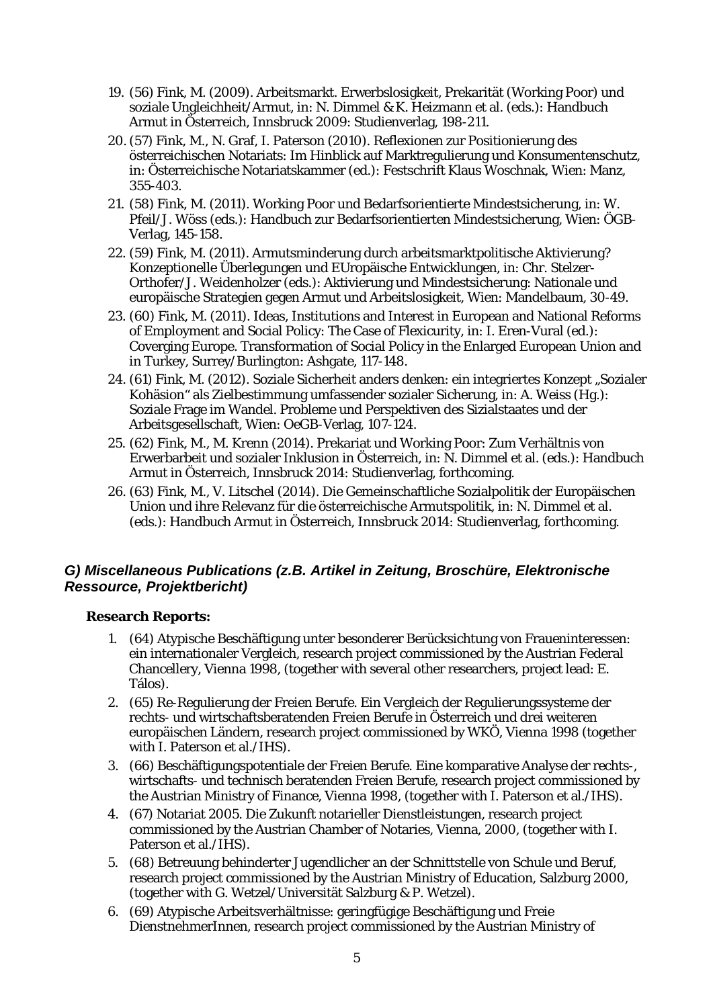- 19. (56) Fink, M. (2009). Arbeitsmarkt. Erwerbslosigkeit, Prekarität (Working Poor) und soziale Ungleichheit/Armut, in: N. Dimmel & K. Heizmann et al. (eds.): Handbuch Armut in Österreich, Innsbruck 2009: Studienverlag, 198-211.
- 20. (57) Fink, M., N. Graf, I. Paterson (2010). Reflexionen zur Positionierung des österreichischen Notariats: Im Hinblick auf Marktregulierung und Konsumentenschutz, in: Österreichische Notariatskammer (ed.): Festschrift Klaus Woschnak, Wien: Manz, 355-403.
- 21. (58) Fink, M. (2011). Working Poor und Bedarfsorientierte Mindestsicherung, in: W. Pfeil/J. Wöss (eds.): Handbuch zur Bedarfsorientierten Mindestsicherung, Wien: ÖGB-Verlag, 145-158.
- 22. (59) Fink, M. (2011). Armutsminderung durch arbeitsmarktpolitische Aktivierung? Konzeptionelle Überlegungen und EUropäische Entwicklungen, in: Chr. Stelzer-Orthofer/J. Weidenholzer (eds.): Aktivierung und Mindestsicherung: Nationale und europäische Strategien gegen Armut und Arbeitslosigkeit, Wien: Mandelbaum, 30-49.
- 23. (60) Fink, M. (2011). Ideas, Institutions and Interest in European and National Reforms of Employment and Social Policy: The Case of Flexicurity, in: I. Eren-Vural (ed.): Coverging Europe. Transformation of Social Policy in the Enlarged European Union and in Turkey, Surrey/Burlington: Ashgate, 117-148.
- 24. (61) Fink, M. (2012). Soziale Sicherheit anders denken: ein integriertes Konzept "Sozialer Kohäsion" als Zielbestimmung umfassender sozialer Sicherung, in: A. Weiss (Hg.): Soziale Frage im Wandel. Probleme und Perspektiven des Sizialstaates und der Arbeitsgesellschaft, Wien: OeGB-Verlag, 107-124.
- 25. (62) Fink, M., M. Krenn (2014). Prekariat und Working Poor: Zum Verhältnis von Erwerbarbeit und sozialer Inklusion in Österreich, in: N. Dimmel et al. (eds.): Handbuch Armut in Österreich, Innsbruck 2014: Studienverlag, forthcoming.
- 26. (63) Fink, M., V. Litschel (2014). Die Gemeinschaftliche Sozialpolitik der Europäischen Union und ihre Relevanz für die österreichische Armutspolitik, in: N. Dimmel et al. (eds.): Handbuch Armut in Österreich, Innsbruck 2014: Studienverlag, forthcoming.

## <span id="page-8-0"></span>*G) Miscellaneous Publications (z.B. Artikel in Zeitung, Broschüre, Elektronische Ressource, Projektbericht)*

#### **Research Reports:**

- 1. (64) Atypische Beschäftigung unter besonderer Berücksichtung von Fraueninteressen: ein internationaler Vergleich, research project commissioned by the Austrian Federal Chancellery, Vienna 1998, (together with several other researchers, project lead: E. Tálos).
- 2. (65) Re-Regulierung der Freien Berufe. Ein Vergleich der Regulierungssysteme der rechts- und wirtschaftsberatenden Freien Berufe in Österreich und drei weiteren europäischen Ländern, research project commissioned by WKÖ, Vienna 1998 (together with I. Paterson et al./IHS).
- 3. (66) Beschäftigungspotentiale der Freien Berufe. Eine komparative Analyse der rechts-, wirtschafts- und technisch beratenden Freien Berufe, research project commissioned by the Austrian Ministry of Finance, Vienna 1998, (together with I. Paterson et al./IHS).
- 4. (67) Notariat 2005. Die Zukunft notarieller Dienstleistungen, research project commissioned by the Austrian Chamber of Notaries, Vienna, 2000, (together with I. Paterson et al./IHS).
- 5. (68) Betreuung behinderter Jugendlicher an der Schnittstelle von Schule und Beruf, research project commissioned by the Austrian Ministry of Education, Salzburg 2000, (together with G. Wetzel/Universität Salzburg & P. Wetzel).
- 6. (69) Atypische Arbeitsverhältnisse: geringfügige Beschäftigung und Freie DienstnehmerInnen, research project commissioned by the Austrian Ministry of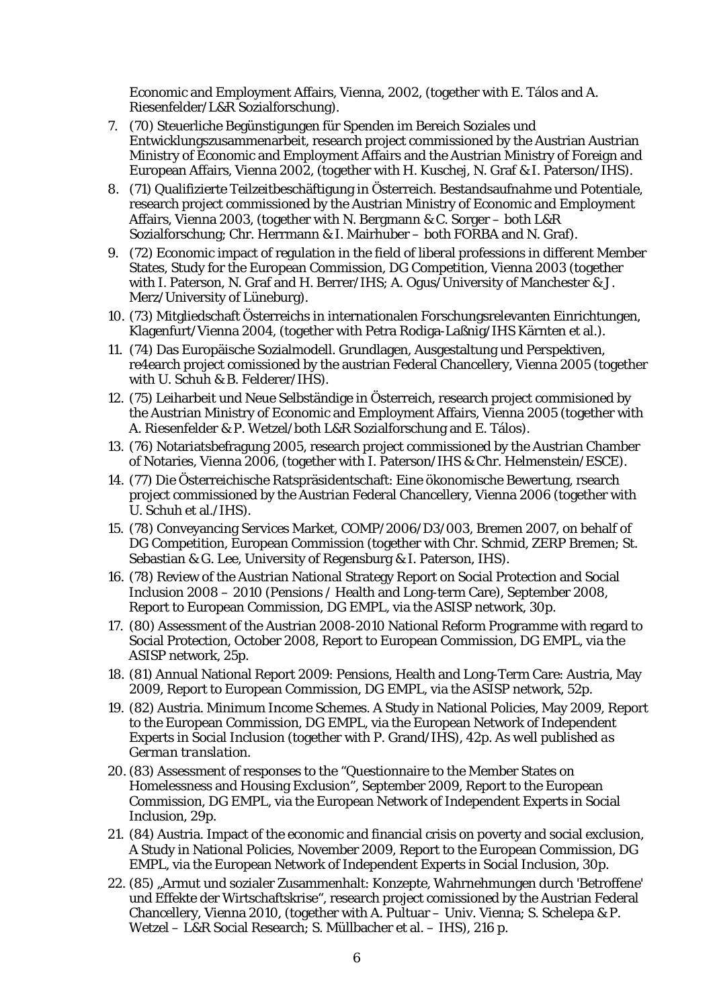Economic and Employment Affairs, Vienna, 2002, (together with E. Tálos and A. Riesenfelder/L&R Sozialforschung).

- 7. (70) Steuerliche Begünstigungen für Spenden im Bereich Soziales und Entwicklungszusammenarbeit, research project commissioned by the Austrian Austrian Ministry of Economic and Employment Affairs and the Austrian Ministry of Foreign and European Affairs, Vienna 2002, (together with H. Kuschej, N. Graf & I. Paterson/IHS).
- 8. (71) Qualifizierte Teilzeitbeschäftigung in Österreich. Bestandsaufnahme und Potentiale, research project commissioned by the Austrian Ministry of Economic and Employment Affairs, Vienna 2003, (together with N. Bergmann & C. Sorger – both L&R Sozialforschung; Chr. Herrmann & I. Mairhuber – both FORBA and N. Graf).
- 9. (72) Economic impact of regulation in the field of liberal professions in different Member States, Study for the European Commission, DG Competition, Vienna 2003 (together with I. Paterson, N. Graf and H. Berrer/IHS; A. Ogus/University of Manchester & J. Merz/University of Lüneburg).
- 10. (73) Mitgliedschaft Österreichs in internationalen Forschungsrelevanten Einrichtungen, Klagenfurt/Vienna 2004, (together with Petra Rodiga-Laßnig/IHS Kärnten et al.).
- 11. (74) Das Europäische Sozialmodell. Grundlagen, Ausgestaltung und Perspektiven, re4earch project comissioned by the austrian Federal Chancellery, Vienna 2005 (together with U. Schuh & B. Felderer/IHS).
- 12. (75) Leiharbeit und Neue Selbständige in Österreich, research project commisioned by the Austrian Ministry of Economic and Employment Affairs, Vienna 2005 (together with A. Riesenfelder & P. Wetzel/both L&R Sozialforschung and E. Tálos).
- 13. (76) Notariatsbefragung 2005, research project commissioned by the Austrian Chamber of Notaries, Vienna 2006, (together with I. Paterson/IHS & Chr. Helmenstein/ESCE).
- 14. (77) Die Österreichische Ratspräsidentschaft: Eine ökonomische Bewertung, rsearch project commissioned by the Austrian Federal Chancellery, Vienna 2006 (together with U. Schuh et al./IHS).
- 15. (78) Conveyancing Services Market, COMP/2006/D3/003, Bremen 2007, on behalf of DG Competition, European Commission (together with Chr. Schmid, ZERP Bremen; St. Sebastian & G. Lee, University of Regensburg & I. Paterson, IHS).
- 16. (78) Review of the Austrian National Strategy Report on Social Protection and Social Inclusion 2008 – 2010 (Pensions / Health and Long-term Care), September 2008, Report to European Commission, DG EMPL, via the ASISP network, 30p.
- 17. (80) Assessment of the Austrian 2008-2010 National Reform Programme with regard to Social Protection, October 2008, Report to European Commission, DG EMPL, via the ASISP network, 25p.
- 18. (81) Annual National Report 2009: Pensions, Health and Long-Term Care: Austria, May 2009, Report to European Commission, DG EMPL, via the ASISP network, 52p.
- *19.* (82) Austria. Minimum Income Schemes. A Study in National Policies, May 2009, Report to the European Commission, DG EMPL, via the European Network of Independent Experts in Social Inclusion (together with P. Grand/IHS), 42p. *As well published as German translation.*
- 20. (83) Assessment of responses to the "Questionnaire to the Member States on Homelessness and Housing Exclusion", September 2009, Report to the European Commission, DG EMPL, via the European Network of Independent Experts in Social Inclusion, 29p.
- 21. (84) Austria. Impact of the economic and financial crisis on poverty and social exclusion, A Study in National Policies, November 2009, Report to the European Commission, DG EMPL, via the European Network of Independent Experts in Social Inclusion, 30p.
- 22. (85) "Armut und sozialer Zusammenhalt: Konzepte, Wahrnehmungen durch 'Betroffene' und Effekte der Wirtschaftskrise", research project comissioned by the Austrian Federal Chancellery, Vienna 2010, (together with A. Pultuar – Univ. Vienna; S. Schelepa & P. Wetzel – L&R Social Research; S. Müllbacher et al. – IHS), 216 p.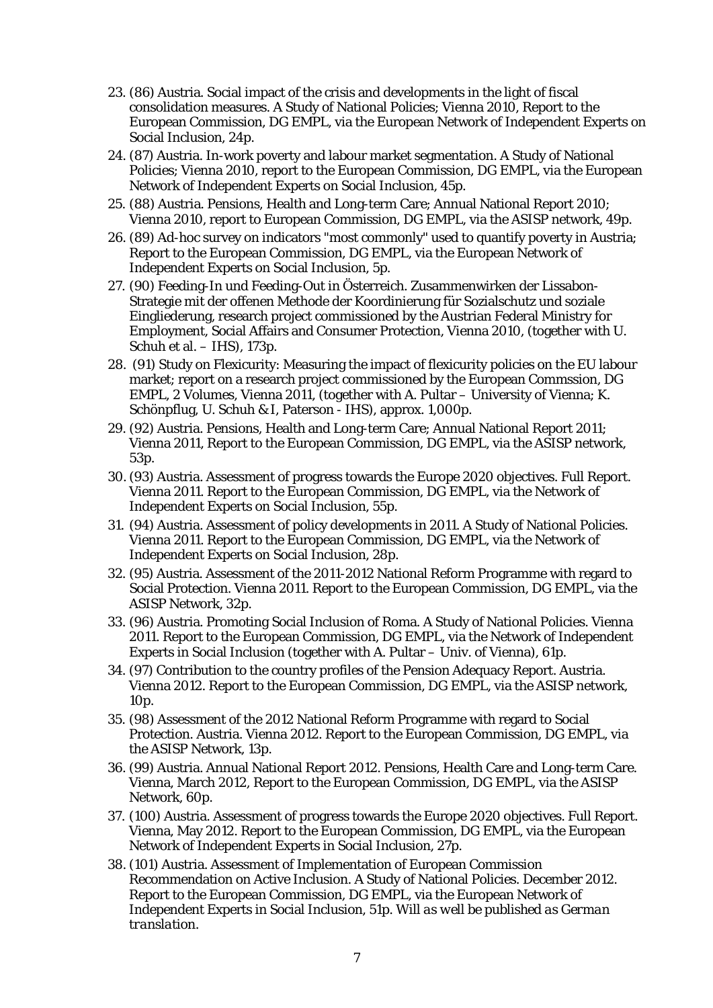- 23. (86) Austria. Social impact of the crisis and developments in the light of fiscal consolidation measures. A Study of National Policies; Vienna 2010, Report to the European Commission, DG EMPL, via the European Network of Independent Experts on Social Inclusion, 24p.
- 24. (87) Austria. In-work poverty and labour market segmentation. A Study of National Policies; Vienna 2010, report to the European Commission, DG EMPL, via the European Network of Independent Experts on Social Inclusion, 45p.
- 25. (88) Austria. Pensions, Health and Long-term Care; Annual National Report 2010; Vienna 2010, report to European Commission, DG EMPL, via the ASISP network, 49p.
- 26. (89) Ad-hoc survey on indicators "most commonly" used to quantify poverty in Austria; Report to the European Commission, DG EMPL, via the European Network of Independent Experts on Social Inclusion, 5p.
- 27. (90) Feeding-In und Feeding-Out in Österreich. Zusammenwirken der Lissabon-Strategie mit der offenen Methode der Koordinierung für Sozialschutz und soziale Eingliederung, research project commissioned by the Austrian Federal Ministry for Employment, Social Affairs and Consumer Protection, Vienna 2010, (together with U. Schuh et al. – IHS), 173p.
- 28. (91) Study on Flexicurity: Measuring the impact of flexicurity policies on the EU labour market; report on a research project commissioned by the European Commssion, DG EMPL, 2 Volumes, Vienna 2011, (together with A. Pultar – University of Vienna; K. Schönpflug, U. Schuh & I, Paterson - IHS), approx. 1,000p.
- 29. (92) Austria. Pensions, Health and Long-term Care; Annual National Report 2011; Vienna 2011, Report to the European Commission, DG EMPL, via the ASISP network, 53p.
- 30. (93) Austria. Assessment of progress towards the Europe 2020 objectives. Full Report. Vienna 2011. Report to the European Commission, DG EMPL, via the Network of Independent Experts on Social Inclusion, 55p.
- 31. (94) Austria. Assessment of policy developments in 2011. A Study of National Policies. Vienna 2011. Report to the European Commission, DG EMPL, via the Network of Independent Experts on Social Inclusion, 28p.
- 32. (95) Austria. Assessment of the 2011-2012 National Reform Programme with regard to Social Protection. Vienna 2011. Report to the European Commission, DG EMPL, via the ASISP Network, 32p.
- 33. (96) Austria. Promoting Social Inclusion of Roma. A Study of National Policies. Vienna 2011. Report to the European Commission, DG EMPL, via the Network of Independent Experts in Social Inclusion (together with A. Pultar – Univ. of Vienna), 61p.
- 34. (97) Contribution to the country profiles of the Pension Adequacy Report. Austria. Vienna 2012. Report to the European Commission, DG EMPL, via the ASISP network, 10p.
- 35. (98) Assessment of the 2012 National Reform Programme with regard to Social Protection. Austria. Vienna 2012. Report to the European Commission, DG EMPL, via the ASISP Network, 13p.
- 36. (99) Austria. Annual National Report 2012. Pensions, Health Care and Long-term Care. Vienna, March 2012, Report to the European Commission, DG EMPL, via the ASISP Network, 60p.
- 37. (100) Austria. Assessment of progress towards the Europe 2020 objectives. Full Report. Vienna, May 2012. Report to the European Commission, DG EMPL, via the European Network of Independent Experts in Social Inclusion, 27p.
- *38.* (101) Austria. Assessment of Implementation of European Commission Recommendation on Active Inclusion. A Study of National Policies. December 2012. Report to the European Commission, DG EMPL, via the European Network of Independent Experts in Social Inclusion, 51p. *Will as well be published as German translation.*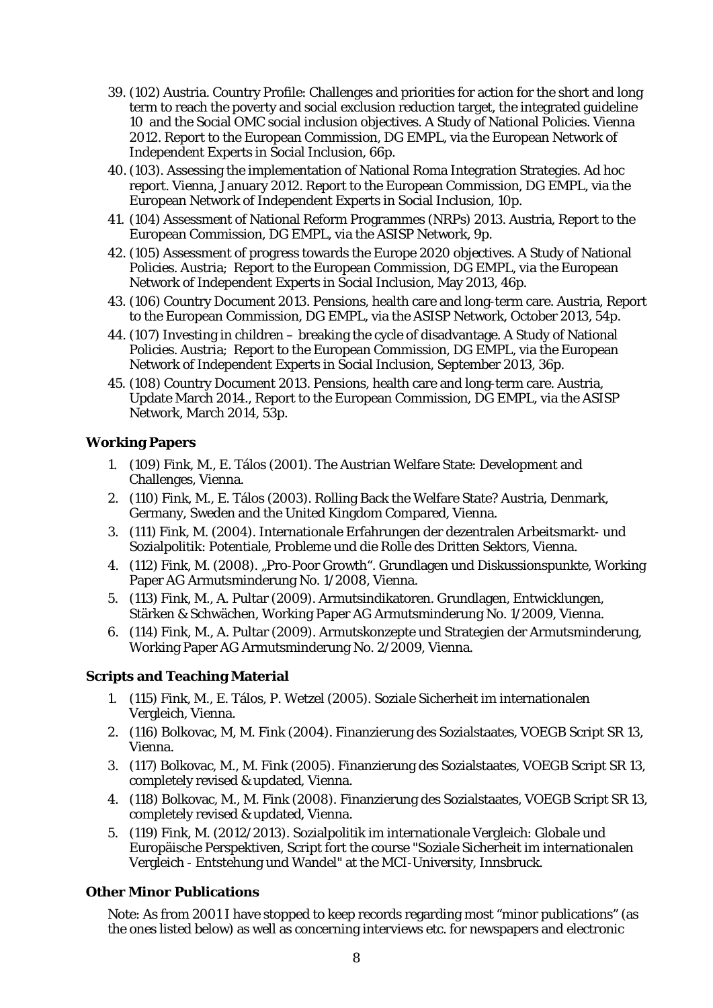- 39. (102) Austria. Country Profile: Challenges and priorities for action for the short and long term to reach the poverty and social exclusion reduction target, the integrated guideline 10 and the Social OMC social inclusion objectives. A Study of National Policies. Vienna 2012. Report to the European Commission, DG EMPL, via the European Network of Independent Experts in Social Inclusion, 66p.
- 40. (103). Assessing the implementation of National Roma Integration Strategies. Ad hoc report. Vienna, January 2012. Report to the European Commission, DG EMPL, via the European Network of Independent Experts in Social Inclusion, 10p.
- 41. (104) Assessment of National Reform Programmes (NRPs) 2013. Austria, Report to the European Commission, DG EMPL, via the ASISP Network, 9p.
- 42. (105) Assessment of progress towards the Europe 2020 objectives. A Study of National Policies. Austria; Report to the European Commission, DG EMPL, via the European Network of Independent Experts in Social Inclusion, May 2013, 46p.
- 43. (106) Country Document 2013. Pensions, health care and long-term care. Austria, Report to the European Commission, DG EMPL, via the ASISP Network, October 2013, 54p.
- 44. (107) Investing in children breaking the cycle of disadvantage. A Study of National Policies. Austria; Report to the European Commission, DG EMPL, via the European Network of Independent Experts in Social Inclusion, September 2013, 36p.
- 45. (108) Country Document 2013. Pensions, health care and long-term care. Austria, Update March 2014., Report to the European Commission, DG EMPL, via the ASISP Network, March 2014, 53p.

#### **Working Papers**

- 1. (109) Fink, M., E. Tálos (2001). The Austrian Welfare State: Development and Challenges, Vienna.
- 2. (110) Fink, M., E. Tálos (2003). Rolling Back the Welfare State? Austria, Denmark, Germany, Sweden and the United Kingdom Compared, Vienna.
- 3. (111) Fink, M. (2004). Internationale Erfahrungen der dezentralen Arbeitsmarkt- und Sozialpolitik: Potentiale, Probleme und die Rolle des Dritten Sektors, Vienna.
- 4. (112) Fink, M. (2008). "Pro-Poor Growth". Grundlagen und Diskussionspunkte, Working Paper AG Armutsminderung No. 1/2008, Vienna.
- 5. (113) Fink, M., A. Pultar (2009). Armutsindikatoren. Grundlagen, Entwicklungen, Stärken & Schwächen, Working Paper AG Armutsminderung No. 1/2009, Vienna.
- 6. (114) Fink, M., A. Pultar (2009). Armutskonzepte und Strategien der Armutsminderung, Working Paper AG Armutsminderung No. 2/2009, Vienna.

## **Scripts and Teaching Material**

- 1. (115) Fink, M., E. Tálos, P. Wetzel (2005). Soziale Sicherheit im internationalen Vergleich, Vienna.
- 2. (116) Bolkovac, M, M. Fink (2004). Finanzierung des Sozialstaates, VOEGB Script SR 13, Vienna.
- 3. (117) Bolkovac, M., M. Fink (2005). Finanzierung des Sozialstaates, VOEGB Script SR 13, completely revised & updated, Vienna.
- 4. (118) Bolkovac, M., M. Fink (2008). Finanzierung des Sozialstaates, VOEGB Script SR 13, completely revised & updated, Vienna.
- 5. (119) Fink, M. (2012/2013). Sozialpolitik im internationale Vergleich: Globale und Europäische Perspektiven, Script fort the course "Soziale Sicherheit im internationalen Vergleich - Entstehung und Wandel" at the MCI-University, Innsbruck.

#### **Other Minor Publications**

Note: As from 2001 I have stopped to keep records regarding most "minor publications" (as the ones listed below) as well as concerning interviews etc. for newspapers and electronic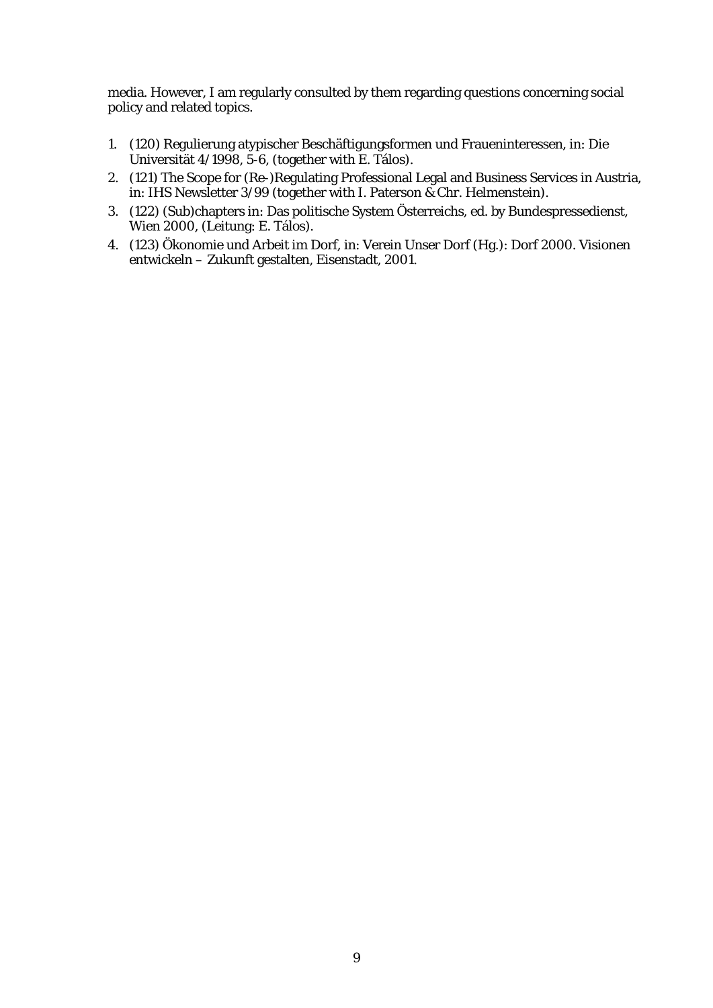media. However, I am regularly consulted by them regarding questions concerning social policy and related topics.

- 1. (120) Regulierung atypischer Beschäftigungsformen und Fraueninteressen, in: Die Universität 4/1998, 5-6, (together with E. Tálos).
- 2. (121) The Scope for (Re-)Regulating Professional Legal and Business Services in Austria, in: IHS Newsletter 3/99 (together with I. Paterson & Chr. Helmenstein).
- 3. (122) (Sub)chapters in: Das politische System Österreichs, ed. by Bundespressedienst, Wien 2000, (Leitung: E. Tálos).
- 4. (123) Ökonomie und Arbeit im Dorf, in: Verein Unser Dorf (Hg.): Dorf 2000. Visionen entwickeln – Zukunft gestalten, Eisenstadt, 2001.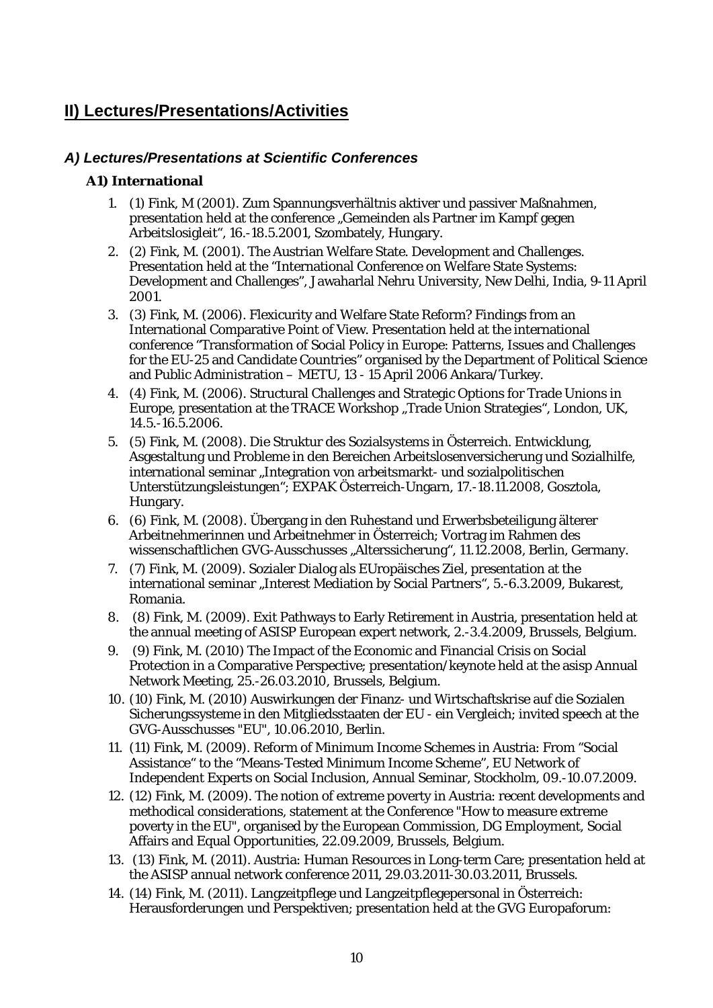## <span id="page-13-0"></span>**II) Lectures/Presentations/Activities**

## <span id="page-13-1"></span>*A) Lectures/Presentations at Scientific Conferences*

#### **A1) International**

- 1. (1) Fink, M (2001). Zum Spannungsverhältnis aktiver und passiver Maßnahmen, presentation held at the conference "Gemeinden als Partner im Kampf gegen Arbeitslosigleit", 16.-18.5.2001, Szombately, Hungary.
- 2. (2) Fink, M. (2001). The Austrian Welfare State. Development and Challenges. Presentation held at the "International Conference on Welfare State Systems: Development and Challenges", Jawaharlal Nehru University, New Delhi, India, 9-11 April 2001.
- 3. (3) Fink, M. (2006). Flexicurity and Welfare State Reform? Findings from an International Comparative Point of View. Presentation held at the international conference "Transformation of Social Policy in Europe: Patterns, Issues and Challenges for the EU-25 and Candidate Countries" organised by the Department of Political Science and Public Administration – METU, 13 - 15 April 2006 Ankara/Turkey.
- 4. (4) Fink, M. (2006). Structural Challenges and Strategic Options for Trade Unions in Europe, presentation at the TRACE Workshop "Trade Union Strategies", London, UK, 14.5.-16.5.2006.
- 5. (5) Fink, M. (2008). Die Struktur des Sozialsystems in Österreich. Entwicklung, Asgestaltung und Probleme in den Bereichen Arbeitslosenversicherung und Sozialhilfe, international seminar "Integration von arbeitsmarkt- und sozialpolitischen Unterstützungsleistungen"; EXPAK Österreich-Ungarn, 17.-18.11.2008, Gosztola, Hungary.
- 6. (6) Fink, M. (2008). Übergang in den Ruhestand und Erwerbsbeteiligung älterer Arbeitnehmerinnen und Arbeitnehmer in Österreich; Vortrag im Rahmen des wissenschaftlichen GVG-Ausschusses "Alterssicherung", 11.12.2008, Berlin, Germany.
- 7. (7) Fink, M. (2009). Sozialer Dialog als EUropäisches Ziel, presentation at the international seminar "Interest Mediation by Social Partners", 5.-6.3.2009, Bukarest, Romania.
- 8. (8) Fink, M. (2009). Exit Pathways to Early Retirement in Austria, presentation held at the annual meeting of ASISP European expert network, 2.-3.4.2009, Brussels, Belgium.
- 9. (9) Fink, M. (2010) The Impact of the Economic and Financial Crisis on Social Protection in a Comparative Perspective; presentation/keynote held at the asisp Annual Network Meeting, 25.-26.03.2010, Brussels, Belgium.
- 10. (10) Fink, M. (2010) Auswirkungen der Finanz- und Wirtschaftskrise auf die Sozialen Sicherungssysteme in den Mitgliedsstaaten der EU - ein Vergleich; invited speech at the GVG-Ausschusses "EU", 10.06.2010, Berlin.
- 11. (11) Fink, M. (2009). Reform of Minimum Income Schemes in Austria: From "Social Assistance" to the "Means-Tested Minimum Income Scheme", EU Network of Independent Experts on Social Inclusion, Annual Seminar, Stockholm, 09.-10.07.2009.
- 12. (12) Fink, M. (2009). The notion of extreme poverty in Austria: recent developments and methodical considerations, statement at the Conference "How to measure extreme poverty in the EU", organised by the European Commission, DG Employment, Social Affairs and Equal Opportunities, 22.09.2009, Brussels, Belgium.
- 13. (13) Fink, M. (2011). Austria: Human Resources in Long-term Care; presentation held at the ASISP annual network conference 2011, 29.03.2011-30.03.2011, Brussels.
- 14. (14) Fink, M. (2011). Langzeitpflege und Langzeitpflegepersonal in Österreich: Herausforderungen und Perspektiven; presentation held at the GVG Europaforum: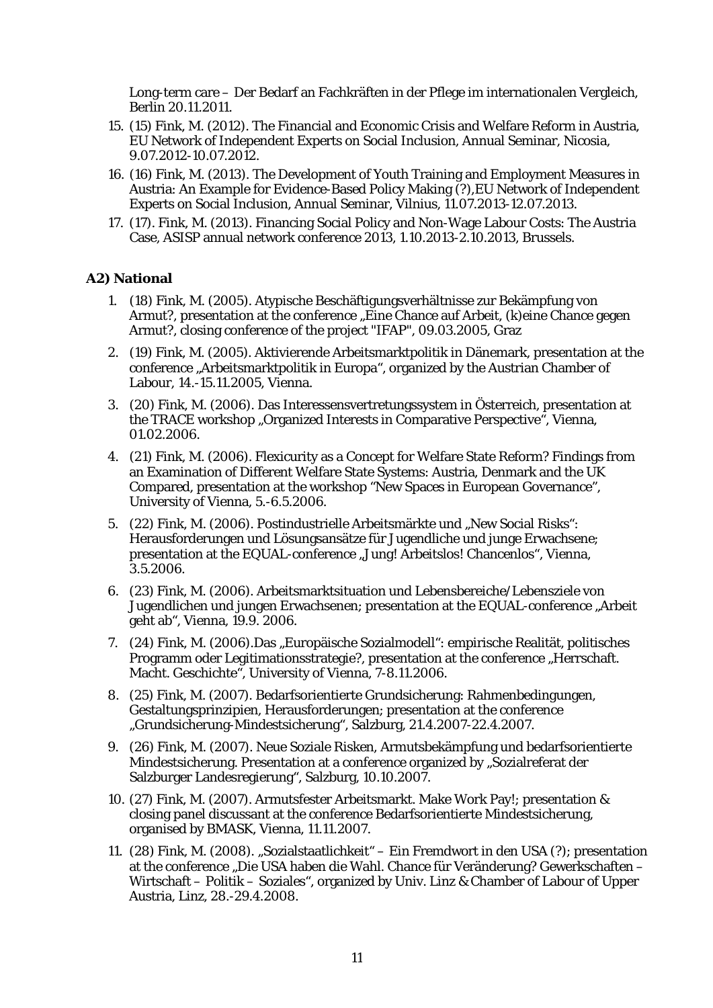Long-term care – Der Bedarf an Fachkräften in der Pflege im internationalen Vergleich, Berlin 20.11.2011.

- 15. (15) Fink, M. (2012). The Financial and Economic Crisis and Welfare Reform in Austria, EU Network of Independent Experts on Social Inclusion, Annual Seminar, Nicosia, 9.07.2012-10.07.2012.
- 16. (16) Fink, M. (2013). The Development of Youth Training and Employment Measures in Austria: An Example for Evidence-Based Policy Making (?),EU Network of Independent Experts on Social Inclusion, Annual Seminar, Vilnius, 11.07.2013-12.07.2013.
- 17. (17). Fink, M. (2013). Financing Social Policy and Non-Wage Labour Costs: The Austria Case, ASISP annual network conference 2013, 1.10.2013-2.10.2013, Brussels.

#### **A2) National**

- 1. (18) Fink, M. (2005). Atypische Beschäftigungsverhältnisse zur Bekämpfung von Armut?, presentation at the conference "Eine Chance auf Arbeit, (k)eine Chance gegen Armut?, closing conference of the project "IFAP", 09.03.2005, Graz
- 2. (19) Fink, M. (2005). Aktivierende Arbeitsmarktpolitik in Dänemark, presentation at the conference "Arbeitsmarktpolitik in Europa", organized by the Austrian Chamber of Labour, 14.-15.11.2005, Vienna.
- 3. (20) Fink, M. (2006). Das Interessensvertretungssystem in Österreich, presentation at the TRACE workshop "Organized Interests in Comparative Perspective", Vienna, 01.02.2006.
- 4. (21) Fink, M. (2006). Flexicurity as a Concept for Welfare State Reform? Findings from an Examination of Different Welfare State Systems: Austria, Denmark and the UK Compared, presentation at the workshop "New Spaces in European Governance", University of Vienna, 5.-6.5.2006.
- 5. (22) Fink, M. (2006). Postindustrielle Arbeitsmärkte und "New Social Risks": Herausforderungen und Lösungsansätze für Jugendliche und junge Erwachsene; presentation at the EQUAL-conference "Jung! Arbeitslos! Chancenlos", Vienna, 3.5.2006.
- 6. (23) Fink, M. (2006). Arbeitsmarktsituation und Lebensbereiche/Lebensziele von Jugendlichen und jungen Erwachsenen; presentation at the EQUAL-conference "Arbeit geht ab", Vienna, 19.9. 2006.
- 7. (24) Fink, M. (2006).Das "Europäische Sozialmodell": empirische Realität, politisches Programm oder Legitimationsstrategie?, presentation at the conference "Herrschaft. Macht. Geschichte", University of Vienna, 7-8.11.2006.
- 8. (25) Fink, M. (2007). Bedarfsorientierte Grundsicherung: Rahmenbedingungen, Gestaltungsprinzipien, Herausforderungen; presentation at the conference "Grundsicherung-Mindestsicherung", Salzburg, 21.4.2007-22.4.2007.
- 9. (26) Fink, M. (2007). Neue Soziale Risken, Armutsbekämpfung und bedarfsorientierte Mindestsicherung. Presentation at a conference organized by "Sozialreferat der Salzburger Landesregierung", Salzburg, 10.10.2007.
- 10. (27) Fink, M. (2007). Armutsfester Arbeitsmarkt. Make Work Pay!; presentation & closing panel discussant at the conference Bedarfsorientierte Mindestsicherung, organised by BMASK, Vienna, 11.11.2007.
- 11. (28) Fink, M. (2008). "Sozialstaatlichkeit" Ein Fremdwort in den USA (?); presentation at the conference "Die USA haben die Wahl. Chance für Veränderung? Gewerkschaften – Wirtschaft – Politik – Soziales", organized by Univ. Linz & Chamber of Labour of Upper Austria, Linz, 28.-29.4.2008.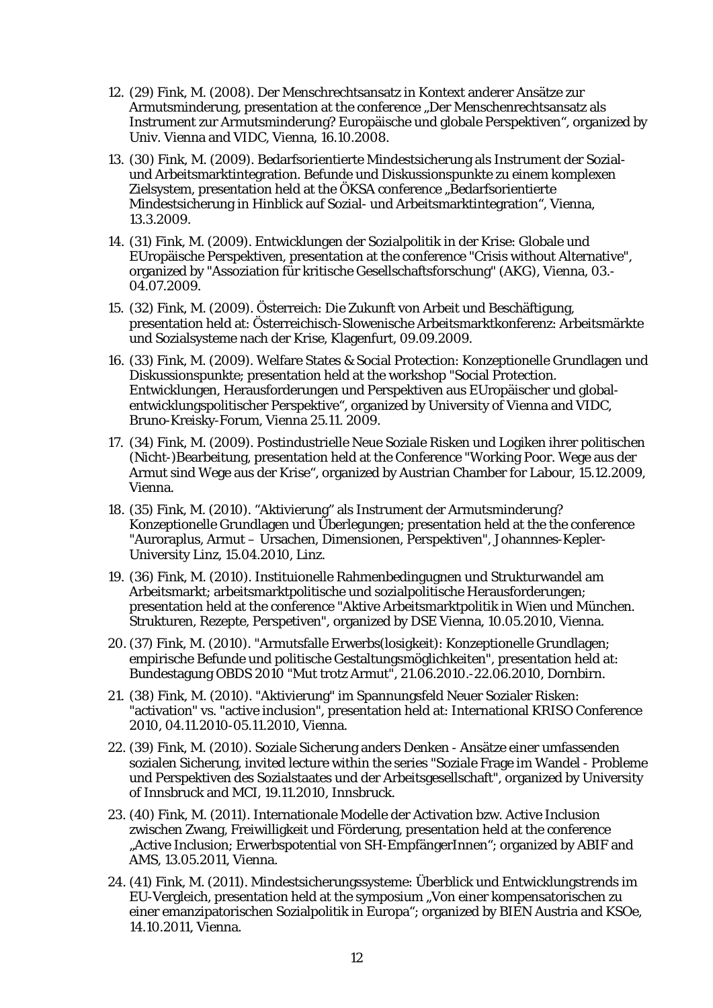- 12. (29) Fink, M. (2008). Der Menschrechtsansatz in Kontext anderer Ansätze zur Armutsminderung, presentation at the conference "Der Menschenrechtsansatz als Instrument zur Armutsminderung? Europäische und globale Perspektiven", organized by Univ. Vienna and VIDC, Vienna, 16.10.2008.
- 13. (30) Fink, M. (2009). Bedarfsorientierte Mindestsicherung als Instrument der Sozialund Arbeitsmarktintegration. Befunde und Diskussionspunkte zu einem komplexen Zielsystem, presentation held at the ÖKSA conference "Bedarfsorientierte Mindestsicherung in Hinblick auf Sozial- und Arbeitsmarktintegration", Vienna, 13.3.2009.
- 14. (31) Fink, M. (2009). Entwicklungen der Sozialpolitik in der Krise: Globale und EUropäische Perspektiven, presentation at the conference "Crisis without Alternative", organized by "Assoziation für kritische Gesellschaftsforschung" (AKG), Vienna, 03.- 04.07.2009.
- 15. (32) Fink, M. (2009). Österreich: Die Zukunft von Arbeit und Beschäftigung, presentation held at: Österreichisch-Slowenische Arbeitsmarktkonferenz: Arbeitsmärkte und Sozialsysteme nach der Krise, Klagenfurt, 09.09.2009.
- 16. (33) Fink, M. (2009). Welfare States & Social Protection: Konzeptionelle Grundlagen und Diskussionspunkte; presentation held at the workshop "Social Protection. Entwicklungen, Herausforderungen und Perspektiven aus EUropäischer und globalentwicklungspolitischer Perspektive", organized by University of Vienna and VIDC, Bruno-Kreisky-Forum, Vienna 25.11. 2009.
- 17. (34) Fink, M. (2009). Postindustrielle Neue Soziale Risken und Logiken ihrer politischen (Nicht-)Bearbeitung, presentation held at the Conference "Working Poor. Wege aus der Armut sind Wege aus der Krise", organized by Austrian Chamber for Labour, 15.12.2009, Vienna.
- 18. (35) Fink, M. (2010). "Aktivierung" als Instrument der Armutsminderung? Konzeptionelle Grundlagen und Überlegungen; presentation held at the the conference "Auroraplus, Armut – Ursachen, Dimensionen, Perspektiven", Johannnes-Kepler-University Linz, 15.04.2010, Linz.
- 19. (36) Fink, M. (2010). Instituionelle Rahmenbedingugnen und Strukturwandel am Arbeitsmarkt; arbeitsmarktpolitische und sozialpolitische Herausforderungen; presentation held at the conference "Aktive Arbeitsmarktpolitik in Wien und München. Strukturen, Rezepte, Perspetiven", organized by DSE Vienna, 10.05.2010, Vienna.
- 20. (37) Fink, M. (2010). "Armutsfalle Erwerbs(losigkeit): Konzeptionelle Grundlagen; empirische Befunde und politische Gestaltungsmöglichkeiten", presentation held at: Bundestagung OBDS 2010 "Mut trotz Armut", 21.06.2010.-22.06.2010, Dornbirn.
- 21. (38) Fink, M. (2010). "Aktivierung" im Spannungsfeld Neuer Sozialer Risken: "activation" vs. "active inclusion", presentation held at: International KRISO Conference 2010, 04.11.2010-05.11.2010, Vienna.
- 22. (39) Fink, M. (2010). Soziale Sicherung anders Denken Ansätze einer umfassenden sozialen Sicherung, invited lecture within the series "Soziale Frage im Wandel - Probleme und Perspektiven des Sozialstaates und der Arbeitsgesellschaft", organized by University of Innsbruck and MCI, 19.11.2010, Innsbruck.
- 23. (40) Fink, M. (2011). Internationale Modelle der Activation bzw. Active Inclusion zwischen Zwang, Freiwilligkeit und Förderung, presentation held at the conference "Active Inclusion; Erwerbspotential von SH-EmpfängerInnen"; organized by ABIF and AMS, 13.05.2011, Vienna.
- 24. (41) Fink, M. (2011). Mindestsicherungssysteme: Überblick und Entwicklungstrends im EU-Vergleich, presentation held at the symposium "Von einer kompensatorischen zu einer emanzipatorischen Sozialpolitik in Europa"; organized by BIEN Austria and KSOe, 14.10.2011, Vienna.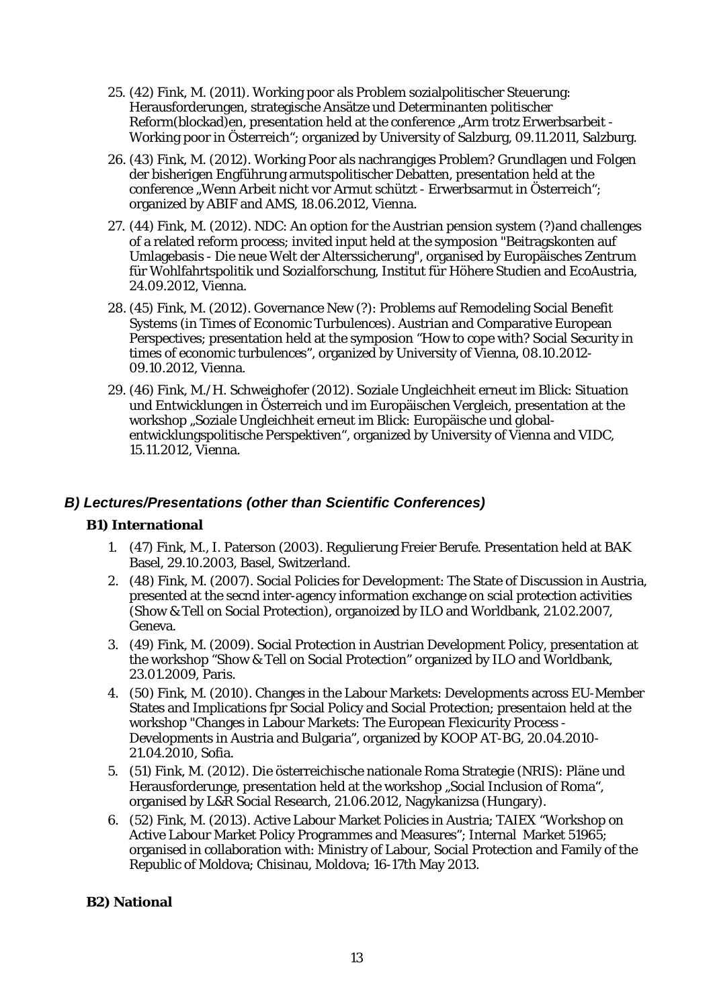- 25. (42) Fink, M. (2011). Working poor als Problem sozialpolitischer Steuerung: Herausforderungen, strategische Ansätze und Determinanten politischer Reform(blockad)en, presentation held at the conference "Arm trotz Erwerbsarbeit -Working poor in Österreich"; organized by University of Salzburg, 09.11.2011, Salzburg.
- 26. (43) Fink, M. (2012). Working Poor als nachrangiges Problem? Grundlagen und Folgen der bisherigen Engführung armutspolitischer Debatten, presentation held at the conference "Wenn Arbeit nicht vor Armut schützt - Erwerbsarmut in Österreich"; organized by ABIF and AMS, 18.06.2012, Vienna.
- 27. (44) Fink, M. (2012). NDC: An option for the Austrian pension system (?)and challenges of a related reform process; invited input held at the symposion "Beitragskonten auf Umlagebasis - Die neue Welt der Alterssicherung", organised by Europäisches Zentrum für Wohlfahrtspolitik und Sozialforschung, Institut für Höhere Studien and EcoAustria, 24.09.2012, Vienna.
- 28. (45) Fink, M. (2012). Governance New (?): Problems auf Remodeling Social Benefit Systems (in Times of Economic Turbulences). Austrian and Comparative European Perspectives; presentation held at the symposion "How to cope with? Social Security in times of economic turbulences", organized by University of Vienna, 08.10.2012- 09.10.2012, Vienna.
- 29. (46) Fink, M./H. Schweighofer (2012). Soziale Ungleichheit erneut im Blick: Situation und Entwicklungen in Österreich und im Europäischen Vergleich, presentation at the workshop "Soziale Ungleichheit erneut im Blick: Europäische und globalentwicklungspolitische Perspektiven", organized by University of Vienna and VIDC, 15.11.2012, Vienna.

## <span id="page-16-0"></span>*B) Lectures/Presentations (other than Scientific Conferences)*

## **B1) International**

- 1. (47) Fink, M., I. Paterson (2003). Regulierung Freier Berufe. Presentation held at BAK Basel, 29.10.2003, Basel, Switzerland.
- 2. (48) Fink, M. (2007). Social Policies for Development: The State of Discussion in Austria, presented at the secnd inter-agency information exchange on scial protection activities (Show & Tell on Social Protection), organoized by ILO and Worldbank, 21.02.2007, Geneva.
- 3. (49) Fink, M. (2009). Social Protection in Austrian Development Policy, presentation at the workshop "Show & Tell on Social Protection" organized by ILO and Worldbank, 23.01.2009, Paris.
- 4. (50) Fink, M. (2010). Changes in the Labour Markets: Developments across EU-Member States and Implications fpr Social Policy and Social Protection; presentaion held at the workshop "Changes in Labour Markets: The European Flexicurity Process - Developments in Austria and Bulgaria", organized by KOOP AT-BG, 20.04.2010- 21.04.2010, Sofia.
- 5. (51) Fink, M. (2012). Die österreichische nationale Roma Strategie (NRIS): Pläne und Herausforderunge, presentation held at the workshop "Social Inclusion of Roma", organised by L&R Social Research, 21.06.2012, Nagykanizsa (Hungary).
- 6. (52) Fink, M. (2013). Active Labour Market Policies in Austria; TAIEX "Workshop on Active Labour Market Policy Programmes and Measures"; Internal Market 51965; organised in collaboration with: Ministry of Labour, Social Protection and Family of the Republic of Moldova; Chisinau, Moldova; 16-17th May 2013.

## **B2) National**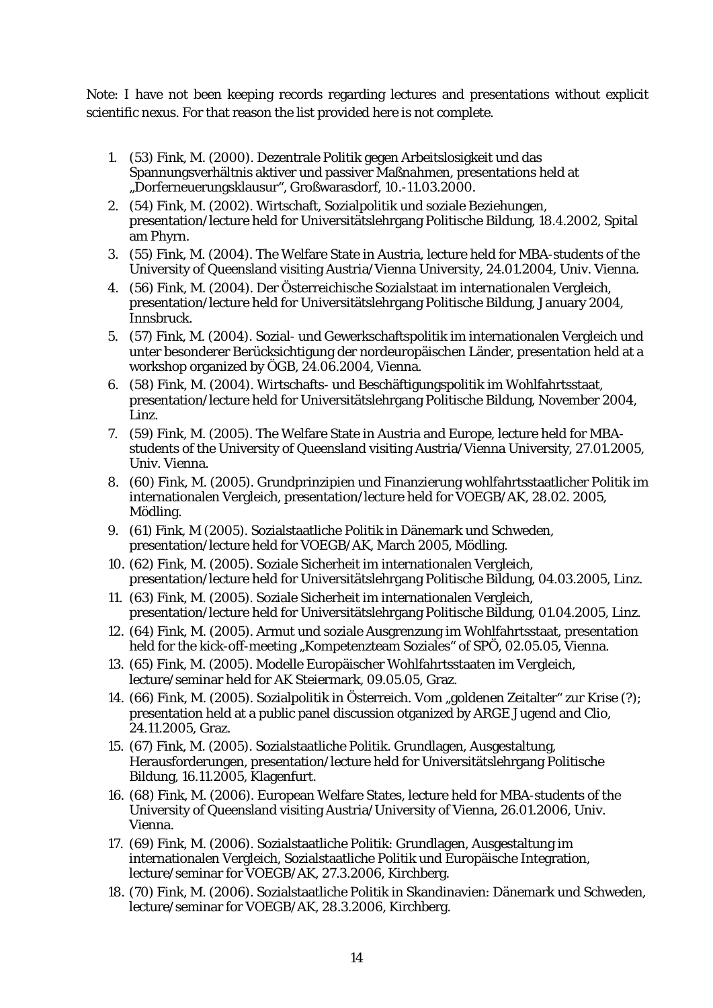Note: I have not been keeping records regarding lectures and presentations without explicit scientific nexus. For that reason the list provided here is not complete.

- 1. (53) Fink, M. (2000). Dezentrale Politik gegen Arbeitslosigkeit und das Spannungsverhältnis aktiver und passiver Maßnahmen, presentations held at "Dorferneuerungsklausur", Großwarasdorf, 10.-11.03.2000.
- 2. (54) Fink, M. (2002). Wirtschaft, Sozialpolitik und soziale Beziehungen, presentation/lecture held for Universitätslehrgang Politische Bildung, 18.4.2002, Spital am Phyrn.
- 3. (55) Fink, M. (2004). The Welfare State in Austria, lecture held for MBA-students of the University of Queensland visiting Austria/Vienna University, 24.01.2004, Univ. Vienna.
- 4. (56) Fink, M. (2004). Der Österreichische Sozialstaat im internationalen Vergleich, presentation/lecture held for Universitätslehrgang Politische Bildung, January 2004, Innsbruck.
- 5. (57) Fink, M. (2004). Sozial- und Gewerkschaftspolitik im internationalen Vergleich und unter besonderer Berücksichtigung der nordeuropäischen Länder, presentation held at a workshop organized by ÖGB, 24.06.2004, Vienna.
- 6. (58) Fink, M. (2004). Wirtschafts- und Beschäftigungspolitik im Wohlfahrtsstaat, presentation/lecture held for Universitätslehrgang Politische Bildung, November 2004, Linz.
- 7. (59) Fink, M. (2005). The Welfare State in Austria and Europe, lecture held for MBAstudents of the University of Queensland visiting Austria/Vienna University, 27.01.2005, Univ. Vienna.
- 8. (60) Fink, M. (2005). Grundprinzipien und Finanzierung wohlfahrtsstaatlicher Politik im internationalen Vergleich, presentation/lecture held for VOEGB/AK, 28.02. 2005, Mödling.
- 9. (61) Fink, M (2005). Sozialstaatliche Politik in Dänemark und Schweden, presentation/lecture held for VOEGB/AK, March 2005, Mödling.
- 10. (62) Fink, M. (2005). Soziale Sicherheit im internationalen Vergleich, presentation/lecture held for Universitätslehrgang Politische Bildung, 04.03.2005, Linz.
- 11. (63) Fink, M. (2005). Soziale Sicherheit im internationalen Vergleich, presentation/lecture held for Universitätslehrgang Politische Bildung, 01.04.2005, Linz.
- 12. (64) Fink, M. (2005). Armut und soziale Ausgrenzung im Wohlfahrtsstaat, presentation held for the kick-off-meeting "Kompetenzteam Soziales" of SPÖ, 02.05.05, Vienna.
- 13. (65) Fink, M. (2005). Modelle Europäischer Wohlfahrtsstaaten im Vergleich, lecture/seminar held for AK Steiermark, 09.05.05, Graz.
- 14. (66) Fink, M. (2005). Sozialpolitik in Österreich. Vom "goldenen Zeitalter" zur Krise (?); presentation held at a public panel discussion otganized by ARGE Jugend and Clio, 24.11.2005, Graz.
- 15. (67) Fink, M. (2005). Sozialstaatliche Politik. Grundlagen, Ausgestaltung, Herausforderungen, presentation/lecture held for Universitätslehrgang Politische Bildung, 16.11.2005, Klagenfurt.
- 16. (68) Fink, M. (2006). European Welfare States, lecture held for MBA-students of the University of Queensland visiting Austria/University of Vienna, 26.01.2006, Univ. Vienna.
- 17. (69) Fink, M. (2006). Sozialstaatliche Politik: Grundlagen, Ausgestaltung im internationalen Vergleich, Sozialstaatliche Politik und Europäische Integration, lecture/seminar for VOEGB/AK, 27.3.2006, Kirchberg.
- 18. (70) Fink, M. (2006). Sozialstaatliche Politik in Skandinavien: Dänemark und Schweden, lecture/seminar for VOEGB/AK, 28.3.2006, Kirchberg.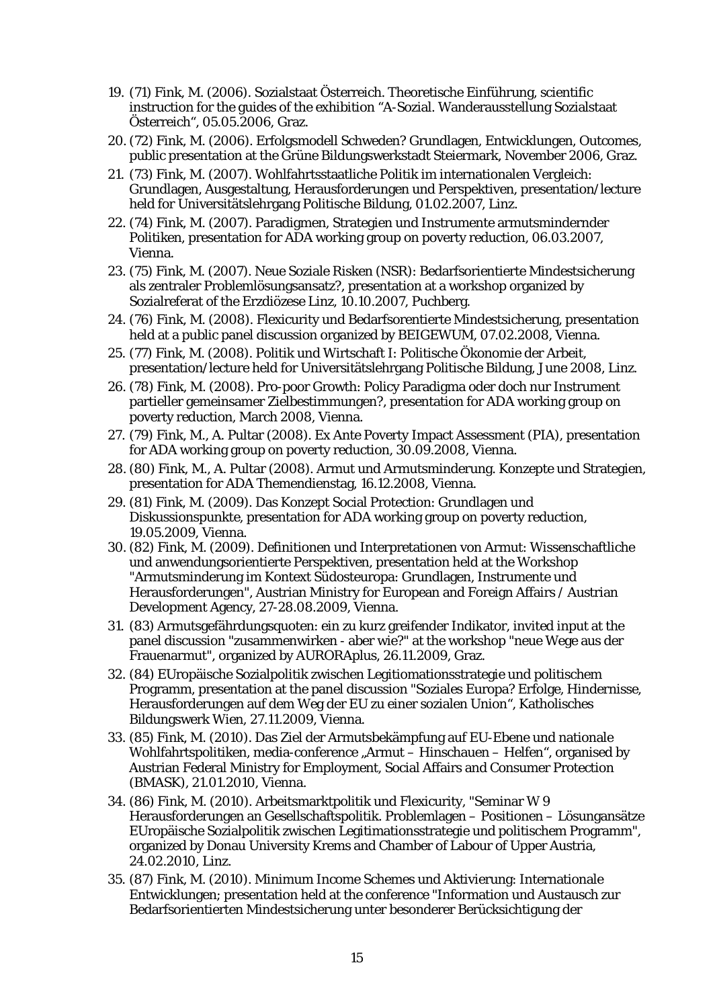- 19. (71) Fink, M. (2006). Sozialstaat Österreich. Theoretische Einführung, scientific instruction for the guides of the exhibition "A-Sozial. Wanderausstellung Sozialstaat Österreich", 05.05.2006, Graz.
- 20. (72) Fink, M. (2006). Erfolgsmodell Schweden? Grundlagen, Entwicklungen, Outcomes, public presentation at the Grüne Bildungswerkstadt Steiermark, November 2006, Graz.
- 21. (73) Fink, M. (2007). Wohlfahrtsstaatliche Politik im internationalen Vergleich: Grundlagen, Ausgestaltung, Herausforderungen und Perspektiven, presentation/lecture held for Universitätslehrgang Politische Bildung, 01.02.2007, Linz.
- 22. (74) Fink, M. (2007). Paradigmen, Strategien und Instrumente armutsmindernder Politiken, presentation for ADA working group on poverty reduction, 06.03.2007, Vienna.
- 23. (75) Fink, M. (2007). Neue Soziale Risken (NSR): Bedarfsorientierte Mindestsicherung als zentraler Problemlösungsansatz?, presentation at a workshop organized by Sozialreferat of the Erzdiözese Linz, 10.10.2007, Puchberg.
- 24. (76) Fink, M. (2008). Flexicurity und Bedarfsorentierte Mindestsicherung, presentation held at a public panel discussion organized by BEIGEWUM, 07.02.2008, Vienna.
- 25. (77) Fink, M. (2008). Politik und Wirtschaft I: Politische Ökonomie der Arbeit, presentation/lecture held for Universitätslehrgang Politische Bildung, June 2008, Linz.
- 26. (78) Fink, M. (2008). Pro-poor Growth: Policy Paradigma oder doch nur Instrument partieller gemeinsamer Zielbestimmungen?, presentation for ADA working group on poverty reduction, March 2008, Vienna.
- 27. (79) Fink, M., A. Pultar (2008). Ex Ante Poverty Impact Assessment (PIA), presentation for ADA working group on poverty reduction, 30.09.2008, Vienna.
- 28. (80) Fink, M., A. Pultar (2008). Armut und Armutsminderung. Konzepte und Strategien, presentation for ADA Themendienstag, 16.12.2008, Vienna.
- 29. (81) Fink, M. (2009). Das Konzept Social Protection: Grundlagen und Diskussionspunkte, presentation for ADA working group on poverty reduction, 19.05.2009, Vienna.
- 30. (82) Fink, M. (2009). Definitionen und Interpretationen von Armut: Wissenschaftliche und anwendungsorientierte Perspektiven, presentation held at the Workshop "Armutsminderung im Kontext Südosteuropa: Grundlagen, Instrumente und Herausforderungen", Austrian Ministry for European and Foreign Affairs / Austrian Development Agency, 27-28.08.2009, Vienna.
- 31. (83) Armutsgefährdungsquoten: ein zu kurz greifender Indikator, invited input at the panel discussion "zusammenwirken - aber wie?" at the workshop "neue Wege aus der Frauenarmut", organized by AURORAplus, 26.11.2009, Graz.
- 32. (84) EUropäische Sozialpolitik zwischen Legitiomationsstrategie und politischem Programm, presentation at the panel discussion "Soziales Europa? Erfolge, Hindernisse, Herausforderungen auf dem Weg der EU zu einer sozialen Union", Katholisches Bildungswerk Wien, 27.11.2009, Vienna.
- 33. (85) Fink, M. (2010). Das Ziel der Armutsbekämpfung auf EU-Ebene und nationale Wohlfahrtspolitiken, media-conference "Armut – Hinschauen – Helfen", organised by Austrian Federal Ministry for Employment, Social Affairs and Consumer Protection (BMASK), 21.01.2010, Vienna.
- 34. (86) Fink, M. (2010). Arbeitsmarktpolitik und Flexicurity, "Seminar W 9 Herausforderungen an Gesellschaftspolitik. Problemlagen – Positionen – Lösungansätze EUropäische Sozialpolitik zwischen Legitimationsstrategie und politischem Programm", organized by Donau University Krems and Chamber of Labour of Upper Austria, 24.02.2010, Linz.
- 35. (87) Fink, M. (2010). Minimum Income Schemes und Aktivierung: Internationale Entwicklungen; presentation held at the conference "Information und Austausch zur Bedarfsorientierten Mindestsicherung unter besonderer Berücksichtigung der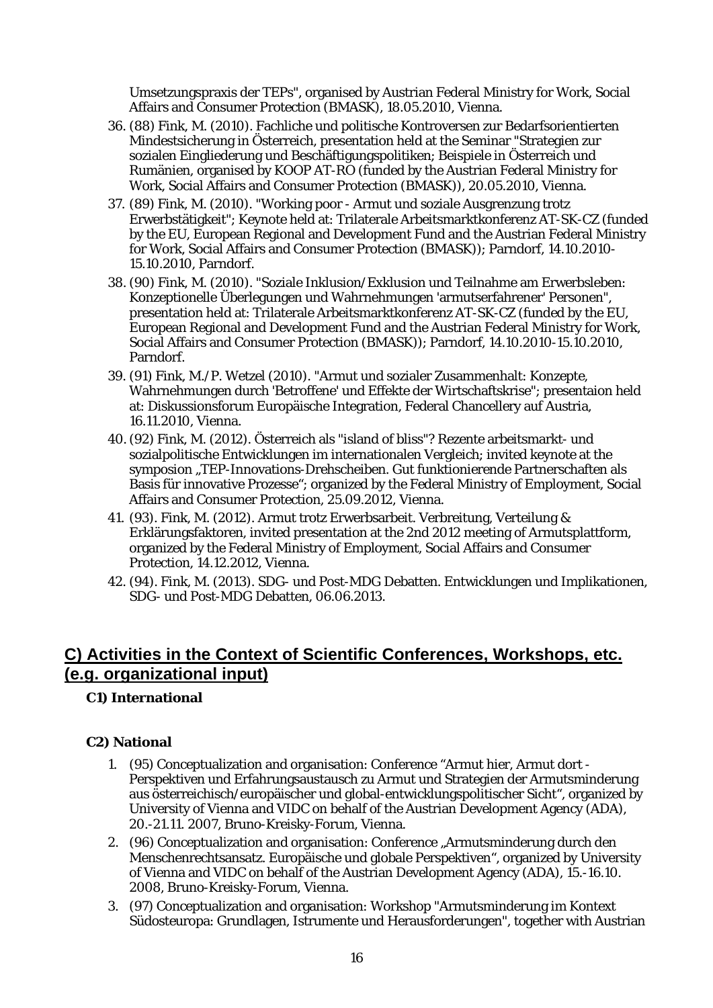Umsetzungspraxis der TEPs", organised by Austrian Federal Ministry for Work, Social Affairs and Consumer Protection (BMASK), 18.05.2010, Vienna.

- 36. (88) Fink, M. (2010). Fachliche und politische Kontroversen zur Bedarfsorientierten Mindestsicherung in Österreich, presentation held at the Seminar "Strategien zur sozialen Eingliederung und Beschäftigungspolitiken; Beispiele in Österreich und Rumänien, organised by KOOP AT-RO (funded by the Austrian Federal Ministry for Work, Social Affairs and Consumer Protection (BMASK)), 20.05.2010, Vienna.
- 37. (89) Fink, M. (2010). "Working poor Armut und soziale Ausgrenzung trotz Erwerbstätigkeit"; Keynote held at: Trilaterale Arbeitsmarktkonferenz AT-SK-CZ (funded by the EU, European Regional and Development Fund and the Austrian Federal Ministry for Work, Social Affairs and Consumer Protection (BMASK)); Parndorf, 14.10.2010- 15.10.2010, Parndorf.
- 38. (90) Fink, M. (2010). "Soziale Inklusion/Exklusion und Teilnahme am Erwerbsleben: Konzeptionelle Überlegungen und Wahrnehmungen 'armutserfahrener' Personen", presentation held at: Trilaterale Arbeitsmarktkonferenz AT-SK-CZ (funded by the EU, European Regional and Development Fund and the Austrian Federal Ministry for Work, Social Affairs and Consumer Protection (BMASK)); Parndorf, 14.10.2010-15.10.2010, Parndorf.
- 39. (91) Fink, M./P. Wetzel (2010). "Armut und sozialer Zusammenhalt: Konzepte, Wahrnehmungen durch 'Betroffene' und Effekte der Wirtschaftskrise"; presentaion held at: Diskussionsforum Europäische Integration, Federal Chancellery auf Austria, 16.11.2010, Vienna.
- 40. (92) Fink, M. (2012). Österreich als "island of bliss"? Rezente arbeitsmarkt- und sozialpolitische Entwicklungen im internationalen Vergleich; invited keynote at the symposion "TEP-Innovations-Drehscheiben. Gut funktionierende Partnerschaften als Basis für innovative Prozesse"; organized by the Federal Ministry of Employment, Social Affairs and Consumer Protection, 25.09.2012, Vienna.
- 41. (93). Fink, M. (2012). Armut trotz Erwerbsarbeit. Verbreitung, Verteilung & Erklärungsfaktoren, invited presentation at the 2nd 2012 meeting of Armutsplattform, organized by the Federal Ministry of Employment, Social Affairs and Consumer Protection, 14.12.2012, Vienna.
- 42. (94). Fink, M. (2013). SDG- und Post-MDG Debatten. Entwicklungen und Implikationen, SDG- und Post-MDG Debatten, 06.06.2013.

## <span id="page-19-0"></span>**C) Activities in the Context of Scientific Conferences, Workshops, etc. (e.g. organizational input)**

## **C1) International**

## **C2) National**

- 1. (95) Conceptualization and organisation: Conference "Armut hier, Armut dort Perspektiven und Erfahrungsaustausch zu Armut und Strategien der Armutsminderung aus österreichisch/europäischer und global-entwicklungspolitischer Sicht", organized by University of Vienna and VIDC on behalf of the Austrian Development Agency (ADA), 20.-21.11. 2007, Bruno-Kreisky-Forum, Vienna.
- 2. (96) Conceptualization and organisation: Conference "Armutsminderung durch den Menschenrechtsansatz. Europäische und globale Perspektiven", organized by University of Vienna and VIDC on behalf of the Austrian Development Agency (ADA), 15.-16.10. 2008, Bruno-Kreisky-Forum, Vienna.
- 3. (97) Conceptualization and organisation: Workshop "Armutsminderung im Kontext Südosteuropa: Grundlagen, Istrumente und Herausforderungen", together with Austrian